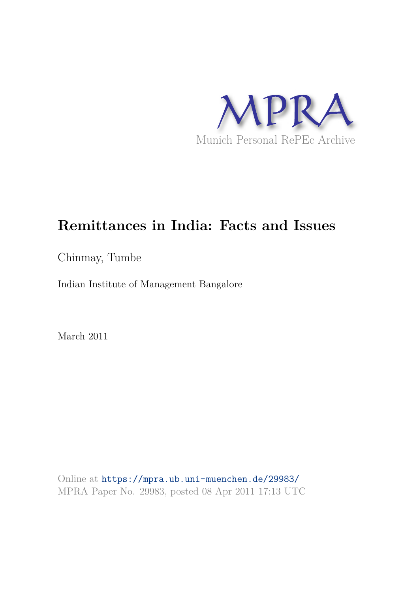

# **Remittances in India: Facts and Issues**

Chinmay, Tumbe

Indian Institute of Management Bangalore

March 2011

Online at https://mpra.ub.uni-muenchen.de/29983/ MPRA Paper No. 29983, posted 08 Apr 2011 17:13 UTC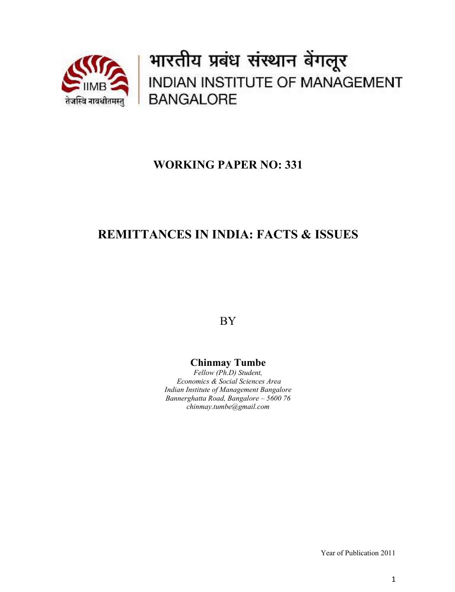

भारतीय प्रबंध संस्थान बेंगलूर INDIAN INSTITUTE OF MANAGEMENT **BANGALORE** 

# **WORKING PAPER NO: 331**

# **REMITTANCES IN INDIA: FACTS & ISSUES**

BY

# **Chinmay Tumbe**

*Fellow (Ph.D) Student, Economics & Social Sciences Area Indian Institute of Management Bangalore Bannerghatta Road, Bangalore – 5600 76 chinmay.tumbe@gmail.com*

Year of Publication 2011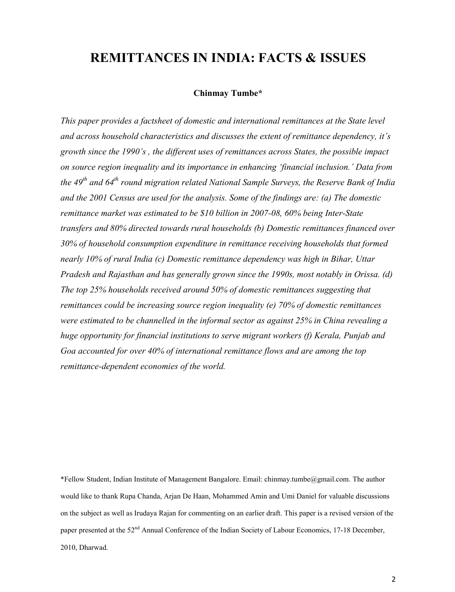# **REMITTANCES IN INDIA: FACTS & ISSUES**

#### **Chinmay Tumbe\***

*This paper provides a factsheet of domestic and international remittances at the State level and across household characteristics and discusses the extent of remittance dependency, it's growth since the 1990's , the different uses of remittances across States, the possible impact on source region inequality and its importance in enhancing 'financial inclusion.' Data from the 49th and 64th round migration related National Sample Surveys, the Reserve Bank of India and the 2001 Census are used for the analysis. Some of the findings are: (a) The domestic remittance market was estimated to be \$10 billion in 2007-08, 60% being Inter-State transfers and 80% directed towards rural households (b) Domestic remittances financed over 30% of household consumption expenditure in remittance receiving households that formed nearly 10% of rural India (c) Domestic remittance dependency was high in Bihar, Uttar Pradesh and Rajasthan and has generally grown since the 1990s, most notably in Orissa. (d) The top 25% households received around 50% of domestic remittances suggesting that remittances could be increasing source region inequality (e) 70% of domestic remittances were estimated to be channelled in the informal sector as against 25% in China revealing a huge opportunity for financial institutions to serve migrant workers (f) Kerala, Punjab and Goa accounted for over 40% of international remittance flows and are among the top remittance-dependent economies of the world.*

\*Fellow Student, Indian Institute of Management Bangalore. Email: chinmay.tumbe@gmail.com. The author would like to thank Rupa Chanda, Arjan De Haan, Mohammed Amin and Umi Daniel for valuable discussions on the subject as well as Irudaya Rajan for commenting on an earlier draft. This paper is a revised version of the paper presented at the 52<sup>nd</sup> Annual Conference of the Indian Society of Labour Economics, 17-18 December, 2010, Dharwad.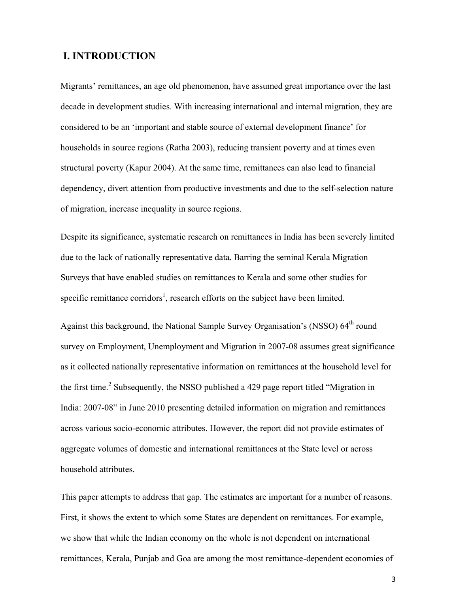# **I. INTRODUCTION**

Migrants' remittances, an age old phenomenon, have assumed great importance over the last decade in development studies. With increasing international and internal migration, they are considered to be an 'important and stable source of external development finance' for households in source regions (Ratha 2003), reducing transient poverty and at times even structural poverty (Kapur 2004). At the same time, remittances can also lead to financial dependency, divert attention from productive investments and due to the self-selection nature of migration, increase inequality in source regions.

Despite its significance, systematic research on remittances in India has been severely limited due to the lack of nationally representative data. Barring the seminal Kerala Migration Surveys that have enabled studies on remittances to Kerala and some other studies for specific remittance corridors<sup>1</sup>, research efforts on the subject have been limited.

Against this background, the National Sample Survey Organisation's (NSSO) 64<sup>th</sup> round survey on Employment, Unemployment and Migration in 2007-08 assumes great significance as it collected nationally representative information on remittances at the household level for the first time.<sup>2</sup> Subsequently, the NSSO published a 429 page report titled "Migration in India: 2007-08" in June 2010 presenting detailed information on migration and remittances across various socio-economic attributes. However, the report did not provide estimates of aggregate volumes of domestic and international remittances at the State level or across household attributes.

This paper attempts to address that gap. The estimates are important for a number of reasons. First, it shows the extent to which some States are dependent on remittances. For example, we show that while the Indian economy on the whole is not dependent on international remittances, Kerala, Punjab and Goa are among the most remittance-dependent economies of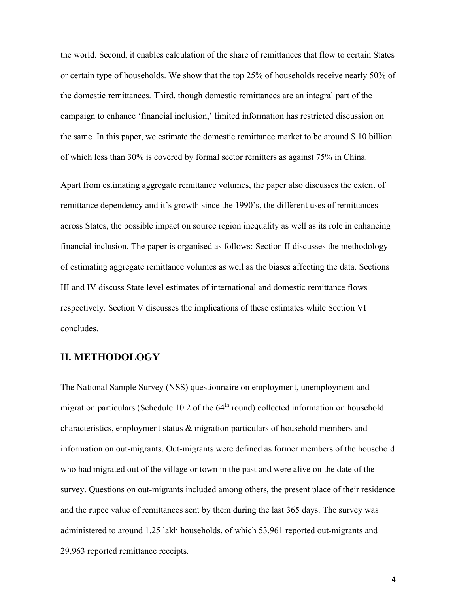the world. Second, it enables calculation of the share of remittances that flow to certain States or certain type of households. We show that the top 25% of households receive nearly 50% of the domestic remittances. Third, though domestic remittances are an integral part of the campaign to enhance 'financial inclusion,' limited information has restricted discussion on the same. In this paper, we estimate the domestic remittance market to be around \$ 10 billion of which less than 30% is covered by formal sector remitters as against 75% in China.

Apart from estimating aggregate remittance volumes, the paper also discusses the extent of remittance dependency and it's growth since the 1990's, the different uses of remittances across States, the possible impact on source region inequality as well as its role in enhancing financial inclusion. The paper is organised as follows: Section II discusses the methodology of estimating aggregate remittance volumes as well as the biases affecting the data. Sections III and IV discuss State level estimates of international and domestic remittance flows respectively. Section V discusses the implications of these estimates while Section VI concludes.

#### **II. METHODOLOGY**

The National Sample Survey (NSS) questionnaire on employment, unemployment and migration particulars (Schedule 10.2 of the  $64<sup>th</sup>$  round) collected information on household characteristics, employment status & migration particulars of household members and information on out-migrants. Out-migrants were defined as former members of the household who had migrated out of the village or town in the past and were alive on the date of the survey. Questions on out-migrants included among others, the present place of their residence and the rupee value of remittances sent by them during the last 365 days. The survey was administered to around 1.25 lakh households, of which 53,961 reported out-migrants and 29,963 reported remittance receipts.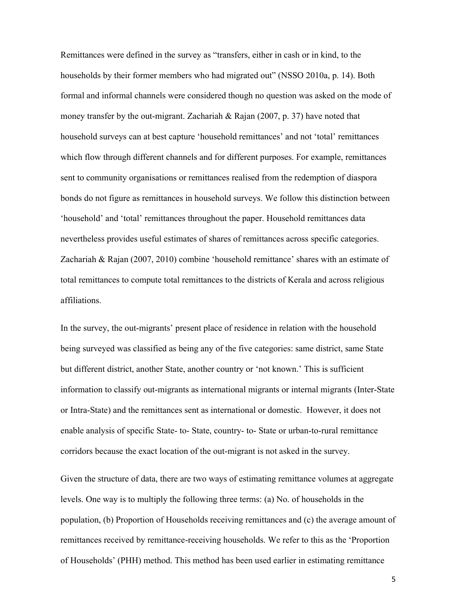Remittances were defined in the survey as "transfers, either in cash or in kind, to the households by their former members who had migrated out" (NSSO 2010a, p. 14). Both formal and informal channels were considered though no question was asked on the mode of money transfer by the out-migrant. Zachariah & Rajan (2007, p. 37) have noted that household surveys can at best capture 'household remittances' and not 'total' remittances which flow through different channels and for different purposes. For example, remittances sent to community organisations or remittances realised from the redemption of diaspora bonds do not figure as remittances in household surveys. We follow this distinction between 'household' and 'total' remittances throughout the paper. Household remittances data nevertheless provides useful estimates of shares of remittances across specific categories. Zachariah & Rajan (2007, 2010) combine 'household remittance' shares with an estimate of total remittances to compute total remittances to the districts of Kerala and across religious affiliations.

In the survey, the out-migrants' present place of residence in relation with the household being surveyed was classified as being any of the five categories: same district, same State but different district, another State, another country or 'not known.' This is sufficient information to classify out-migrants as international migrants or internal migrants (Inter-State or Intra-State) and the remittances sent as international or domestic. However, it does not enable analysis of specific State- to- State, country- to- State or urban-to-rural remittance corridors because the exact location of the out-migrant is not asked in the survey.

Given the structure of data, there are two ways of estimating remittance volumes at aggregate levels. One way is to multiply the following three terms: (a) No. of households in the population, (b) Proportion of Households receiving remittances and (c) the average amount of remittances received by remittance-receiving households. We refer to this as the 'Proportion of Households' (PHH) method. This method has been used earlier in estimating remittance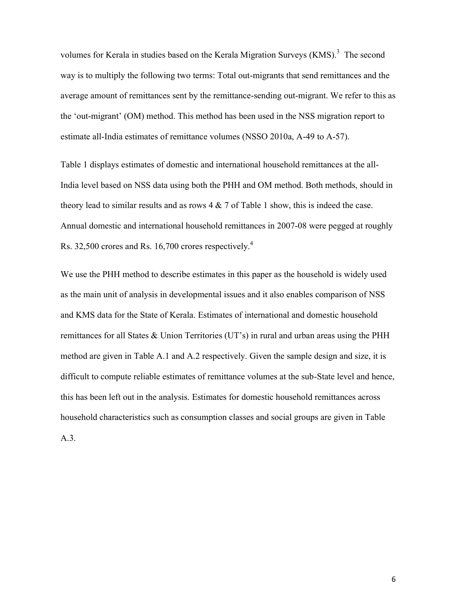volumes for Kerala in studies based on the Kerala Migration Surveys  $(KMS)^3$  The second way is to multiply the following two terms: Total out-migrants that send remittances and the average amount of remittances sent by the remittance-sending out-migrant. We refer to this as the 'out-migrant' (OM) method. This method has been used in the NSS migration report to estimate all-India estimates of remittance volumes (NSSO 2010a, A-49 to A-57).

Table 1 displays estimates of domestic and international household remittances at the all-India level based on NSS data using both the PHH and OM method. Both methods, should in theory lead to similar results and as rows  $4 \& 7$  of Table 1 show, this is indeed the case. Annual domestic and international household remittances in 2007-08 were pegged at roughly Rs. 32,500 crores and Rs. 16,700 crores respectively.<sup>4</sup>

We use the PHH method to describe estimates in this paper as the household is widely used as the main unit of analysis in developmental issues and it also enables comparison of NSS and KMS data for the State of Kerala. Estimates of international and domestic household remittances for all States & Union Territories (UT's) in rural and urban areas using the PHH method are given in Table A.1 and A.2 respectively. Given the sample design and size, it is difficult to compute reliable estimates of remittance volumes at the sub-State level and hence, this has been left out in the analysis. Estimates for domestic household remittances across household characteristics such as consumption classes and social groups are given in Table A.3.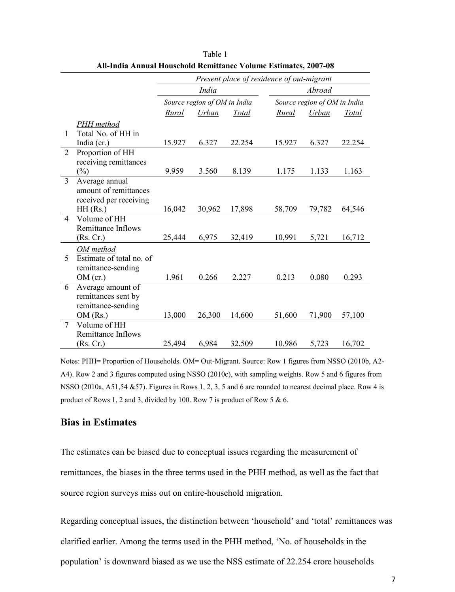|                |                          |        |                              |        | Present place of residence of out-migrant |                              |        |
|----------------|--------------------------|--------|------------------------------|--------|-------------------------------------------|------------------------------|--------|
|                |                          |        | India                        |        |                                           | Abroad                       |        |
|                |                          |        | Source region of OM in India |        |                                           | Source region of OM in India |        |
|                |                          | Rural  | Urban                        | Total  | Rural                                     | Urban                        | Total  |
|                | PHH method               |        |                              |        |                                           |                              |        |
| 1              | Total No. of HH in       |        |                              |        |                                           |                              |        |
|                | India (cr.)              | 15.927 | 6.327                        | 22.254 | 15.927                                    | 6.327                        | 22.254 |
| $\overline{2}$ | Proportion of HH         |        |                              |        |                                           |                              |        |
|                | receiving remittances    |        |                              |        |                                           |                              |        |
|                | $(\%)$                   | 9.959  | 3.560                        | 8.139  | 1.175                                     | 1.133                        | 1.163  |
| $\overline{3}$ | Average annual           |        |                              |        |                                           |                              |        |
|                | amount of remittances    |        |                              |        |                                           |                              |        |
|                | received per receiving   |        |                              |        |                                           |                              |        |
|                | $HH$ (Rs.)               | 16,042 | 30,962                       | 17,898 | 58,709                                    | 79,782                       | 64,546 |
| $\overline{4}$ | Volume of HH             |        |                              |        |                                           |                              |        |
|                | Remittance Inflows       |        |                              |        |                                           |                              |        |
|                | (Rs, Cr.)                | 25,444 | 6,975                        | 32,419 | 10,991                                    | 5,721                        | 16,712 |
|                | OM method                |        |                              |        |                                           |                              |        |
| 5              | Estimate of total no. of |        |                              |        |                                           |                              |        |
|                | remittance-sending       |        |                              |        |                                           |                              |        |
|                | OM (cr.)                 | 1.961  | 0.266                        | 2.227  | 0.213                                     | 0.080                        | 0.293  |
| 6              | Average amount of        |        |                              |        |                                           |                              |        |
|                | remittances sent by      |        |                              |        |                                           |                              |        |
|                | remittance-sending       |        |                              |        |                                           |                              |        |
|                | OM(Rs.)                  | 13,000 | 26,300                       | 14,600 | 51,600                                    | 71,900                       | 57,100 |
| $\tau$         | Volume of HH             |        |                              |        |                                           |                              |        |
|                | Remittance Inflows       |        |                              |        |                                           |                              |        |
|                | (Rs. Cr.)                | 25,494 | 6,984                        | 32,509 | 10,986                                    | 5,723                        | 16,702 |

Table 1 **All-India Annual Household Remittance Volume Estimates, 2007-08**

Notes: PHH= Proportion of Households. OM= Out-Migrant. Source: Row 1 figures from NSSO (2010b, A2- A4). Row 2 and 3 figures computed using NSSO (2010c), with sampling weights. Row 5 and 6 figures from NSSO (2010a, A51,54 &57). Figures in Rows 1, 2, 3, 5 and 6 are rounded to nearest decimal place. Row 4 is product of Rows 1, 2 and 3, divided by 100. Row 7 is product of Row 5 & 6.

### **Bias in Estimates**

The estimates can be biased due to conceptual issues regarding the measurement of remittances, the biases in the three terms used in the PHH method, as well as the fact that source region surveys miss out on entire-household migration.

Regarding conceptual issues, the distinction between 'household' and 'total' remittances was clarified earlier. Among the terms used in the PHH method, 'No. of households in the population' is downward biased as we use the NSS estimate of 22.254 crore households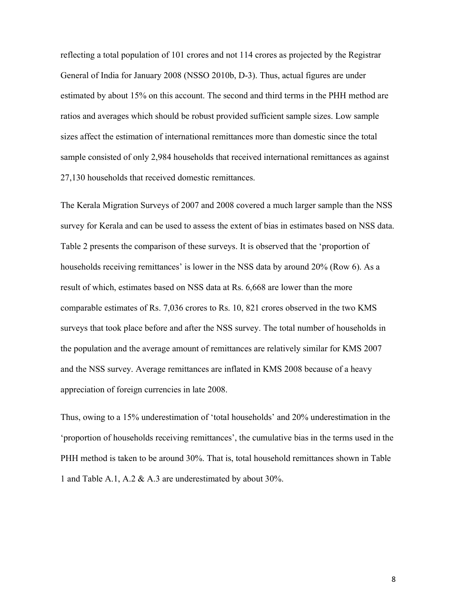reflecting a total population of 101 crores and not 114 crores as projected by the Registrar General of India for January 2008 (NSSO 2010b, D-3). Thus, actual figures are under estimated by about 15% on this account. The second and third terms in the PHH method are ratios and averages which should be robust provided sufficient sample sizes. Low sample sizes affect the estimation of international remittances more than domestic since the total sample consisted of only 2,984 households that received international remittances as against 27,130 households that received domestic remittances.

The Kerala Migration Surveys of 2007 and 2008 covered a much larger sample than the NSS survey for Kerala and can be used to assess the extent of bias in estimates based on NSS data. Table 2 presents the comparison of these surveys. It is observed that the 'proportion of households receiving remittances' is lower in the NSS data by around 20% (Row 6). As a result of which, estimates based on NSS data at Rs. 6,668 are lower than the more comparable estimates of Rs. 7,036 crores to Rs. 10, 821 crores observed in the two KMS surveys that took place before and after the NSS survey. The total number of households in the population and the average amount of remittances are relatively similar for KMS 2007 and the NSS survey. Average remittances are inflated in KMS 2008 because of a heavy appreciation of foreign currencies in late 2008.

Thus, owing to a 15% underestimation of 'total households' and 20% underestimation in the 'proportion of households receiving remittances', the cumulative bias in the terms used in the PHH method is taken to be around 30%. That is, total household remittances shown in Table 1 and Table A.1, A.2 & A.3 are underestimated by about 30%.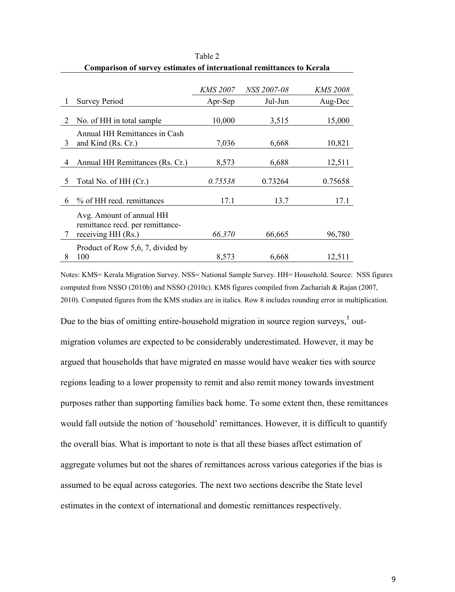|   |                                                              | <i>KMS 2007</i> | <i>NSS 2007-08</i> | <i>KMS 2008</i> |
|---|--------------------------------------------------------------|-----------------|--------------------|-----------------|
|   | <b>Survey Period</b>                                         | Apr-Sep         | Jul-Jun            | Aug-Dec         |
|   |                                                              |                 |                    |                 |
| 2 | No. of HH in total sample                                    | 10,000          | 3,515              | 15,000          |
| 3 | Annual HH Remittances in Cash<br>and Kind (Rs. Cr.)          | 7,036           | 6,668              | 10,821          |
|   |                                                              |                 |                    |                 |
| 4 | Annual HH Remittances (Rs. Cr.)                              | 8,573           | 6,688              | 12,511          |
| 5 | Total No. of HH (Cr.)                                        | 0.75538         | 0.73264            | 0.75658         |
| 6 | % of HH recd. remittances                                    | 17.1            | 13.7               | 17.1            |
|   | Avg. Amount of annual HH<br>remittance recd. per remittance- |                 |                    |                 |
| 7 | receiving HH (Rs.)                                           | 66,370          | 66,665             | 96,780          |
|   | Product of Row 5,6, 7, divided by                            |                 |                    |                 |
| 8 | 100                                                          | 8,573           | 6,668              | 12,511          |

Table 2 **Comparison of survey estimates of international remittances to Kerala**

Notes: KMS= Kerala Migration Survey. NSS= National Sample Survey. HH= Household. Source: NSS figures computed from NSSO (2010b) and NSSO (2010c). KMS figures compiled from Zachariah & Rajan (2007, 2010). Computed figures from the KMS studies are in italics. Row 8 includes rounding error in multiplication.

Due to the bias of omitting entire-household migration in source region surveys, $5$  outmigration volumes are expected to be considerably underestimated. However, it may be argued that households that have migrated en masse would have weaker ties with source regions leading to a lower propensity to remit and also remit money towards investment purposes rather than supporting families back home. To some extent then, these remittances would fall outside the notion of 'household' remittances. However, it is difficult to quantify the overall bias. What is important to note is that all these biases affect estimation of aggregate volumes but not the shares of remittances across various categories if the bias is assumed to be equal across categories. The next two sections describe the State level estimates in the context of international and domestic remittances respectively.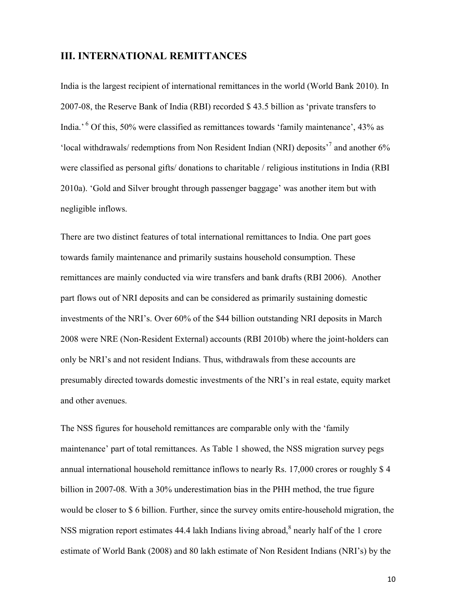### **III. INTERNATIONAL REMITTANCES**

India is the largest recipient of international remittances in the world (World Bank 2010). In 2007-08, the Reserve Bank of India (RBI) recorded \$ 43.5 billion as 'private transfers to India.' <sup>6</sup> Of this, 50% were classified as remittances towards 'family maintenance', 43% as 'local withdrawals/ redemptions from Non Resident Indian (NRI) deposits<sup>7</sup> and another 6% were classified as personal gifts/ donations to charitable / religious institutions in India (RBI 2010a). 'Gold and Silver brought through passenger baggage' was another item but with negligible inflows.

There are two distinct features of total international remittances to India. One part goes towards family maintenance and primarily sustains household consumption. These remittances are mainly conducted via wire transfers and bank drafts (RBI 2006). Another part flows out of NRI deposits and can be considered as primarily sustaining domestic investments of the NRI's. Over 60% of the \$44 billion outstanding NRI deposits in March 2008 were NRE (Non-Resident External) accounts (RBI 2010b) where the joint-holders can only be NRI's and not resident Indians. Thus, withdrawals from these accounts are presumably directed towards domestic investments of the NRI's in real estate, equity market and other avenues.

The NSS figures for household remittances are comparable only with the 'family maintenance' part of total remittances. As Table 1 showed, the NSS migration survey pegs annual international household remittance inflows to nearly Rs. 17,000 crores or roughly \$ 4 billion in 2007-08. With a 30% underestimation bias in the PHH method, the true figure would be closer to \$ 6 billion. Further, since the survey omits entire-household migration, the NSS migration report estimates 44.4 lakh Indians living abroad, $\delta$  nearly half of the 1 crore estimate of World Bank (2008) and 80 lakh estimate of Non Resident Indians (NRI's) by the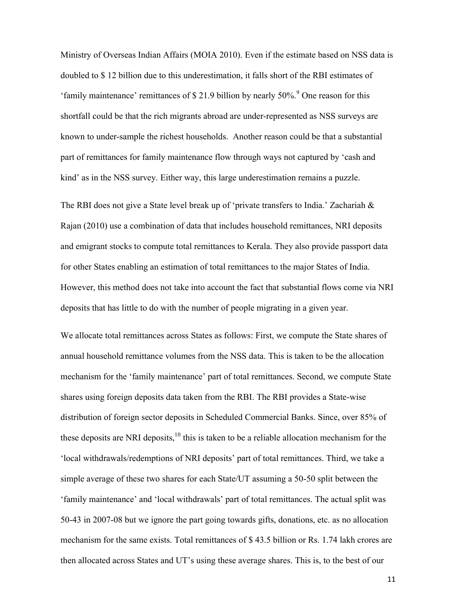Ministry of Overseas Indian Affairs (MOIA 2010). Even if the estimate based on NSS data is doubled to \$ 12 billion due to this underestimation, it falls short of the RBI estimates of 'family maintenance' remittances of  $$ 21.9$  billion by nearly  $50\%$ . <sup>9</sup> One reason for this shortfall could be that the rich migrants abroad are under-represented as NSS surveys are known to under-sample the richest households. Another reason could be that a substantial part of remittances for family maintenance flow through ways not captured by 'cash and kind' as in the NSS survey. Either way, this large underestimation remains a puzzle.

The RBI does not give a State level break up of 'private transfers to India.' Zachariah  $\&$ Rajan (2010) use a combination of data that includes household remittances, NRI deposits and emigrant stocks to compute total remittances to Kerala. They also provide passport data for other States enabling an estimation of total remittances to the major States of India. However, this method does not take into account the fact that substantial flows come via NRI deposits that has little to do with the number of people migrating in a given year.

We allocate total remittances across States as follows: First, we compute the State shares of annual household remittance volumes from the NSS data. This is taken to be the allocation mechanism for the 'family maintenance' part of total remittances. Second, we compute State shares using foreign deposits data taken from the RBI. The RBI provides a State-wise distribution of foreign sector deposits in Scheduled Commercial Banks. Since, over 85% of these deposits are NRI deposits,  $10$  this is taken to be a reliable allocation mechanism for the 'local withdrawals/redemptions of NRI deposits' part of total remittances. Third, we take a simple average of these two shares for each State/UT assuming a 50-50 split between the 'family maintenance' and 'local withdrawals' part of total remittances. The actual split was 50-43 in 2007-08 but we ignore the part going towards gifts, donations, etc. as no allocation mechanism for the same exists. Total remittances of \$ 43.5 billion or Rs. 1.74 lakh crores are then allocated across States and UT's using these average shares. This is, to the best of our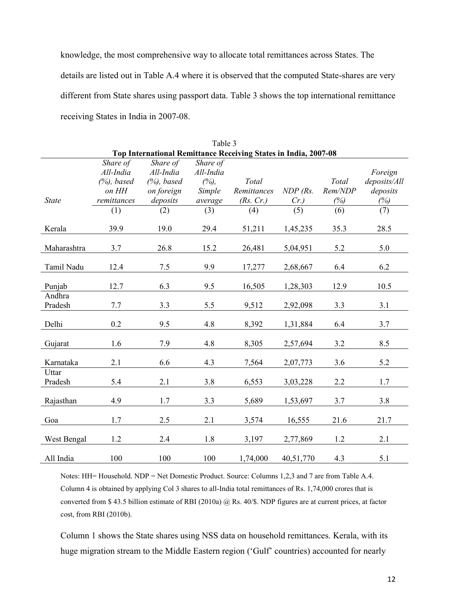knowledge, the most comprehensive way to allocate total remittances across States. The details are listed out in Table A.4 where it is observed that the computed State-shares are very different from State shares using passport data. Table 3 shows the top international remittance receiving States in India in 2007-08.

|                   |                |                |           | Top International Remittance Receiving States in India, 2007-08 |            |         |              |
|-------------------|----------------|----------------|-----------|-----------------------------------------------------------------|------------|---------|--------------|
|                   | Share of       | Share of       | Share of  |                                                                 |            |         |              |
|                   | All-India      | All-India      | All-India |                                                                 |            |         | Foreign      |
|                   | $(\%)$ , based | $(\%)$ , based | (%)       | Total                                                           |            | Total   | deposits/All |
|                   | on HH          | on foreign     | Simple    | Remittances                                                     | $NDP$ (Rs. | Rem/NDP | deposits     |
| <b>State</b>      | remittances    | deposits       | average   | (Rs. Cr.)                                                       | $Cr$ .)    | (%)     | (%)          |
|                   | (1)            | (2)            | (3)       | (4)                                                             | (5)        | (6)     | (7)          |
| Kerala            | 39.9           | 19.0           | 29.4      | 51,211                                                          | 1,45,235   | 35.3    | 28.5         |
| Maharashtra       | 3.7            | 26.8           | 15.2      | 26,481                                                          | 5,04,951   | 5.2     | 5.0          |
|                   |                |                |           |                                                                 |            |         |              |
| Tamil Nadu        | 12.4           | 7.5            | 9.9       | 17,277                                                          | 2,68,667   | 6.4     | 6.2          |
| Punjab            | 12.7           | 6.3            | 9.5       | 16,505                                                          | 1,28,303   | 12.9    | 10.5         |
| Andhra<br>Pradesh | 7.7            | 3.3            | 5.5       | 9,512                                                           | 2,92,098   | 3.3     | 3.1          |
|                   |                |                |           |                                                                 |            |         |              |
| Delhi             | 0.2            | 9.5            | 4.8       | 8,392                                                           | 1,31,884   | 6.4     | 3.7          |
| Gujarat           | 1.6            | 7.9            | 4.8       | 8,305                                                           | 2,57,694   | 3.2     | 8.5          |
| Karnataka         | 2.1            | 6.6            | 4.3       | 7,564                                                           | 2,07,773   | 3.6     | 5.2          |
| Uttar             |                |                |           |                                                                 |            |         |              |
| Pradesh           | 5.4            | 2.1            | 3.8       | 6,553                                                           | 3,03,228   | 2.2     | 1.7          |
| Rajasthan         | 4.9            | 1.7            | 3.3       | 5,689                                                           | 1,53,697   | 3.7     | 3.8          |
| Goa               | 1.7            | 2.5            | 2.1       | 3,574                                                           | 16,555     | 21.6    | 21.7         |
|                   |                |                |           |                                                                 |            |         |              |
| West Bengal       | 1.2            | 2.4            | 1.8       | 3,197                                                           | 2,77,869   | 1.2     | 2.1          |
| All India         | 100            | 100            | 100       | 1,74,000                                                        | 40,51,770  | 4.3     | 5.1          |

Table 3

Notes: HH= Household. NDP = Net Domestic Product. Source: Columns 1,2,3 and 7 are from Table A.4. Column 4 is obtained by applying Col 3 shares to all-India total remittances of Rs. 1,74,000 crores that is converted from \$ 43.5 billion estimate of RBI (2010a) @ Rs. 40/\$. NDP figures are at current prices, at factor cost, from RBI (2010b).

Column 1 shows the State shares using NSS data on household remittances. Kerala, with its huge migration stream to the Middle Eastern region ('Gulf' countries) accounted for nearly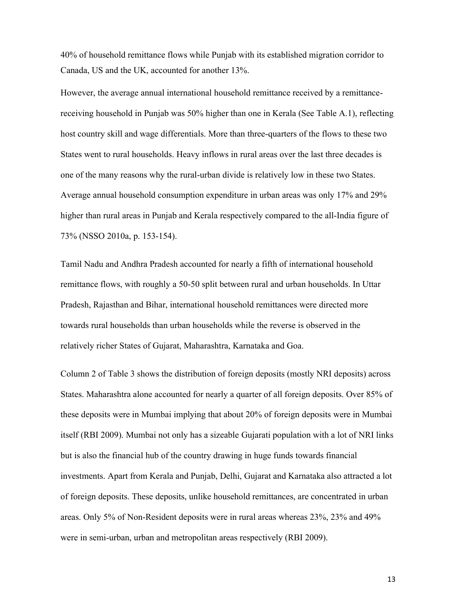40% of household remittance flows while Punjab with its established migration corridor to Canada, US and the UK, accounted for another 13%.

However, the average annual international household remittance received by a remittancereceiving household in Punjab was 50% higher than one in Kerala (See Table A.1), reflecting host country skill and wage differentials. More than three-quarters of the flows to these two States went to rural households. Heavy inflows in rural areas over the last three decades is one of the many reasons why the rural-urban divide is relatively low in these two States. Average annual household consumption expenditure in urban areas was only 17% and 29% higher than rural areas in Punjab and Kerala respectively compared to the all-India figure of 73% (NSSO 2010a, p. 153-154).

Tamil Nadu and Andhra Pradesh accounted for nearly a fifth of international household remittance flows, with roughly a 50-50 split between rural and urban households. In Uttar Pradesh, Rajasthan and Bihar, international household remittances were directed more towards rural households than urban households while the reverse is observed in the relatively richer States of Gujarat, Maharashtra, Karnataka and Goa.

Column 2 of Table 3 shows the distribution of foreign deposits (mostly NRI deposits) across States. Maharashtra alone accounted for nearly a quarter of all foreign deposits. Over 85% of these deposits were in Mumbai implying that about 20% of foreign deposits were in Mumbai itself (RBI 2009). Mumbai not only has a sizeable Gujarati population with a lot of NRI links but is also the financial hub of the country drawing in huge funds towards financial investments. Apart from Kerala and Punjab, Delhi, Gujarat and Karnataka also attracted a lot of foreign deposits. These deposits, unlike household remittances, are concentrated in urban areas. Only 5% of Non-Resident deposits were in rural areas whereas 23%, 23% and 49% were in semi-urban, urban and metropolitan areas respectively (RBI 2009).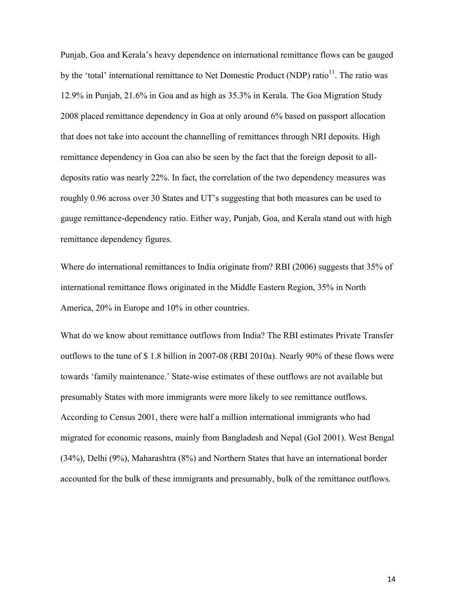Punjab, Goa and Kerala's heavy dependence on international remittance flows can be gauged by the 'total' international remittance to Net Domestic Product (NDP) ratio<sup>11</sup>. The ratio was 12.9% in Punjab, 21.6% in Goa and as high as 35.3% in Kerala. The Goa Migration Study 2008 placed remittance dependency in Goa at only around 6% based on passport allocation that does not take into account the channelling of remittances through NRI deposits. High remittance dependency in Goa can also be seen by the fact that the foreign deposit to alldeposits ratio was nearly 22%. In fact, the correlation of the two dependency measures was roughly 0.96 across over 30 States and UT's suggesting that both measures can be used to gauge remittance-dependency ratio. Either way, Punjab, Goa, and Kerala stand out with high remittance dependency figures.

Where do international remittances to India originate from? RBI (2006) suggests that 35% of international remittance flows originated in the Middle Eastern Region, 35% in North America, 20% in Europe and 10% in other countries.

What do we know about remittance outflows from India? The RBI estimates Private Transfer outflows to the tune of \$ 1.8 billion in 2007-08 (RBI 2010a). Nearly 90% of these flows were towards 'family maintenance.' State-wise estimates of these outflows are not available but presumably States with more immigrants were more likely to see remittance outflows. According to Census 2001, there were half a million international immigrants who had migrated for economic reasons, mainly from Bangladesh and Nepal (GoI 2001). West Bengal (34%), Delhi (9%), Maharashtra (8%) and Northern States that have an international border accounted for the bulk of these immigrants and presumably, bulk of the remittance outflows.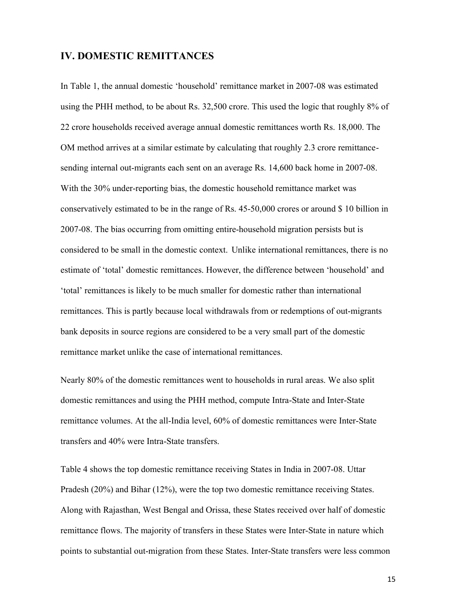### **IV. DOMESTIC REMITTANCES**

In Table 1, the annual domestic 'household' remittance market in 2007-08 was estimated using the PHH method, to be about Rs. 32,500 crore. This used the logic that roughly 8% of 22 crore households received average annual domestic remittances worth Rs. 18,000. The OM method arrives at a similar estimate by calculating that roughly 2.3 crore remittancesending internal out-migrants each sent on an average Rs. 14,600 back home in 2007-08. With the 30% under-reporting bias, the domestic household remittance market was conservatively estimated to be in the range of Rs. 45-50,000 crores or around \$ 10 billion in 2007-08. The bias occurring from omitting entire-household migration persists but is considered to be small in the domestic context. Unlike international remittances, there is no estimate of 'total' domestic remittances. However, the difference between 'household' and 'total' remittances is likely to be much smaller for domestic rather than international remittances. This is partly because local withdrawals from or redemptions of out-migrants bank deposits in source regions are considered to be a very small part of the domestic remittance market unlike the case of international remittances.

Nearly 80% of the domestic remittances went to households in rural areas. We also split domestic remittances and using the PHH method, compute Intra-State and Inter-State remittance volumes. At the all-India level, 60% of domestic remittances were Inter-State transfers and 40% were Intra-State transfers.

Table 4 shows the top domestic remittance receiving States in India in 2007-08. Uttar Pradesh (20%) and Bihar (12%), were the top two domestic remittance receiving States. Along with Rajasthan, West Bengal and Orissa, these States received over half of domestic remittance flows. The majority of transfers in these States were Inter-State in nature which points to substantial out-migration from these States. Inter-State transfers were less common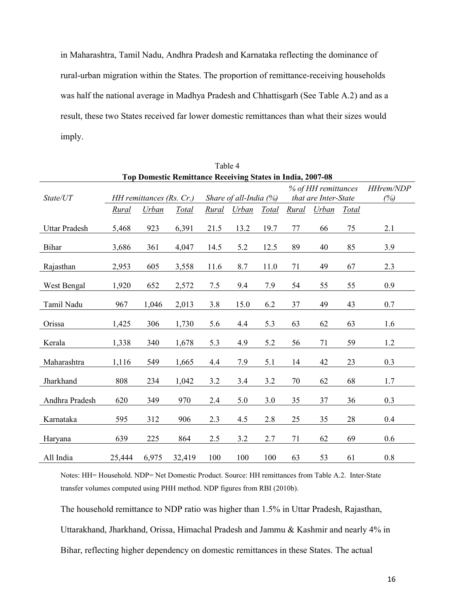in Maharashtra, Tamil Nadu, Andhra Pradesh and Karnataka reflecting the dominance of rural-urban migration within the States. The proportion of remittance-receiving households was half the national average in Madhya Pradesh and Chhattisgarh (See Table A.2) and as a result, these two States received far lower domestic remittances than what their sizes would imply.

|                      |                                                            |                          |        |              | <b>LAUIC</b> +         |       |       |                      |       |           |  |  |  |
|----------------------|------------------------------------------------------------|--------------------------|--------|--------------|------------------------|-------|-------|----------------------|-------|-----------|--|--|--|
|                      | Top Domestic Remittance Receiving States in India, 2007-08 |                          |        |              |                        |       |       |                      |       |           |  |  |  |
|                      |                                                            |                          |        |              |                        |       |       | % of HH remittances  |       | HHrem/NDP |  |  |  |
| State/UT             |                                                            | HH remittances (Rs. Cr.) |        |              | Share of all-India (%) |       |       | that are Inter-State |       | (%)       |  |  |  |
|                      | Rural                                                      | Urban                    | Total  | <b>Rural</b> | Urban                  | Total | Rural | Urban                | Total |           |  |  |  |
| <b>Uttar Pradesh</b> | 5,468                                                      | 923                      | 6,391  | 21.5         | 13.2                   | 19.7  | 77    | 66                   | 75    | 2.1       |  |  |  |
|                      |                                                            |                          |        |              |                        |       |       |                      |       |           |  |  |  |
| <b>Bihar</b>         | 3,686                                                      | 361                      | 4,047  | 14.5         | 5.2                    | 12.5  | 89    | 40                   | 85    | 3.9       |  |  |  |
| Rajasthan            | 2,953                                                      | 605                      | 3,558  | 11.6         | 8.7                    | 11.0  | 71    | 49                   | 67    | 2.3       |  |  |  |
| West Bengal          | 1,920                                                      | 652                      | 2,572  | 7.5          | 9.4                    | 7.9   | 54    | 55                   | 55    | 0.9       |  |  |  |
| Tamil Nadu           | 967                                                        | 1,046                    | 2,013  | 3.8          | 15.0                   | 6.2   | 37    | 49                   | 43    | 0.7       |  |  |  |
| Orissa               | 1,425                                                      | 306                      | 1,730  | 5.6          | 4.4                    | 5.3   | 63    | 62                   | 63    | 1.6       |  |  |  |
| Kerala               | 1,338                                                      | 340                      | 1,678  | 5.3          | 4.9                    | 5.2   | 56    | 71                   | 59    | 1.2       |  |  |  |
| Maharashtra          | 1,116                                                      | 549                      | 1,665  | 4.4          | 7.9                    | 5.1   | 14    | 42                   | 23    | 0.3       |  |  |  |
| Jharkhand            | 808                                                        | 234                      | 1,042  | 3.2          | 3.4                    | 3.2   | 70    | 62                   | 68    | 1.7       |  |  |  |
| Andhra Pradesh       | 620                                                        | 349                      | 970    | 2.4          | 5.0                    | 3.0   | 35    | 37                   | 36    | 0.3       |  |  |  |
| Karnataka            | 595                                                        | 312                      | 906    | 2.3          | 4.5                    | 2.8   | 25    | 35                   | 28    | 0.4       |  |  |  |
| Haryana              | 639                                                        | 225                      | 864    | 2.5          | 3.2                    | 2.7   | 71    | 62                   | 69    | 0.6       |  |  |  |
| All India            | 25,444                                                     | 6,975                    | 32,419 | 100          | 100                    | 100   | 63    | 53                   | 61    | 0.8       |  |  |  |

Table 4

Notes: HH= Household. NDP= Net Domestic Product. Source: HH remittances from Table A.2. Inter-State transfer volumes computed using PHH method. NDP figures from RBI (2010b).

The household remittance to NDP ratio was higher than 1.5% in Uttar Pradesh, Rajasthan, Uttarakhand, Jharkhand, Orissa, Himachal Pradesh and Jammu & Kashmir and nearly 4% in Bihar, reflecting higher dependency on domestic remittances in these States. The actual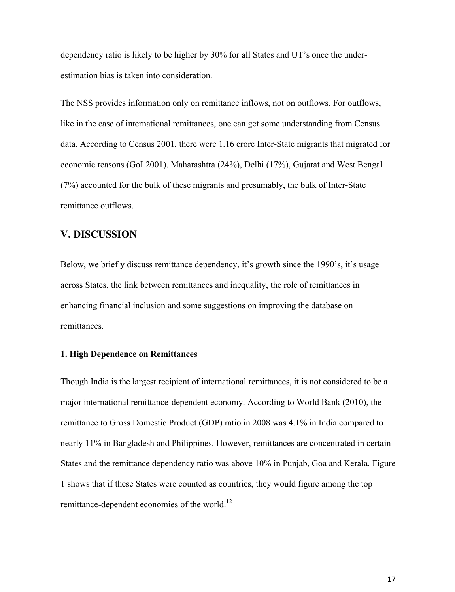dependency ratio is likely to be higher by 30% for all States and UT's once the underestimation bias is taken into consideration.

The NSS provides information only on remittance inflows, not on outflows. For outflows, like in the case of international remittances, one can get some understanding from Census data. According to Census 2001, there were 1.16 crore Inter-State migrants that migrated for economic reasons (GoI 2001). Maharashtra (24%), Delhi (17%), Gujarat and West Bengal (7%) accounted for the bulk of these migrants and presumably, the bulk of Inter-State remittance outflows.

# **V. DISCUSSION**

Below, we briefly discuss remittance dependency, it's growth since the 1990's, it's usage across States, the link between remittances and inequality, the role of remittances in enhancing financial inclusion and some suggestions on improving the database on remittances.

#### **1. High Dependence on Remittances**

Though India is the largest recipient of international remittances, it is not considered to be a major international remittance-dependent economy. According to World Bank (2010), the remittance to Gross Domestic Product (GDP) ratio in 2008 was 4.1% in India compared to nearly 11% in Bangladesh and Philippines. However, remittances are concentrated in certain States and the remittance dependency ratio was above 10% in Punjab, Goa and Kerala. Figure 1 shows that if these States were counted as countries, they would figure among the top remittance-dependent economies of the world.<sup>12</sup>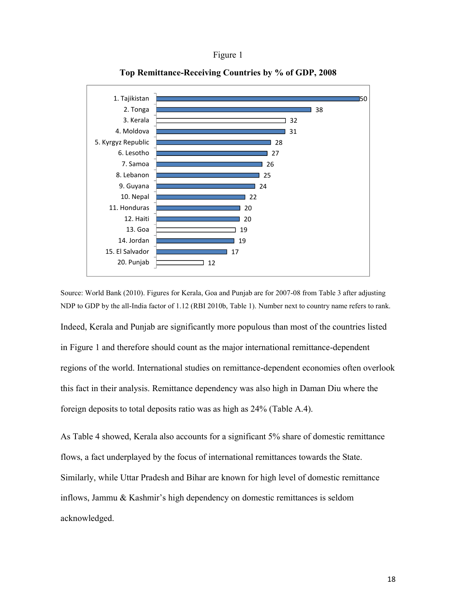



**Top Remittance-Receiving Countries by % of GDP, 2008**

Source: World Bank (2010). Figures for Kerala, Goa and Punjab are for 2007-08 from Table 3 after adjusting NDP to GDP by the all-India factor of 1.12 (RBI 2010b, Table 1). Number next to country name refers to rank.

Indeed, Kerala and Punjab are significantly more populous than most of the countries listed in Figure 1 and therefore should count as the major international remittance-dependent regions of the world. International studies on remittance-dependent economies often overlook this fact in their analysis. Remittance dependency was also high in Daman Diu where the foreign deposits to total deposits ratio was as high as 24% (Table A.4).

As Table 4 showed, Kerala also accounts for a significant 5% share of domestic remittance flows, a fact underplayed by the focus of international remittances towards the State. Similarly, while Uttar Pradesh and Bihar are known for high level of domestic remittance inflows, Jammu & Kashmir's high dependency on domestic remittances is seldom acknowledged.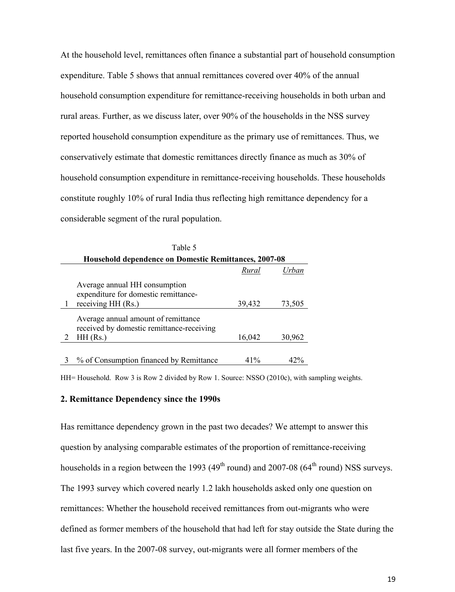At the household level, remittances often finance a substantial part of household consumption expenditure. Table 5 shows that annual remittances covered over 40% of the annual household consumption expenditure for remittance-receiving households in both urban and rural areas. Further, as we discuss later, over 90% of the households in the NSS survey reported household consumption expenditure as the primary use of remittances. Thus, we conservatively estimate that domestic remittances directly finance as much as 30% of household consumption expenditure in remittance-receiving households. These households constitute roughly 10% of rural India thus reflecting high remittance dependency for a considerable segment of the rural population.

| Table 5                                                                          |        |        |  |  |  |  |  |  |  |  |  |
|----------------------------------------------------------------------------------|--------|--------|--|--|--|--|--|--|--|--|--|
| <b>Household dependence on Domestic Remittances, 2007-08</b>                     |        |        |  |  |  |  |  |  |  |  |  |
|                                                                                  | Rural  | Urban  |  |  |  |  |  |  |  |  |  |
| Average annual HH consumption<br>expenditure for domestic remittance-            |        |        |  |  |  |  |  |  |  |  |  |
| receiving HH (Rs.)                                                               | 39,432 | 73,505 |  |  |  |  |  |  |  |  |  |
| Average annual amount of remittance<br>received by domestic remittance-receiving |        |        |  |  |  |  |  |  |  |  |  |
| $HH$ (Rs.)                                                                       | 16,042 | 30,962 |  |  |  |  |  |  |  |  |  |
|                                                                                  |        |        |  |  |  |  |  |  |  |  |  |
| 3 % of Consumption financed by Remittance                                        | 41%    | 47%    |  |  |  |  |  |  |  |  |  |

HH= Household. Row 3 is Row 2 divided by Row 1. Source: NSSO (2010c), with sampling weights.

#### **2. Remittance Dependency since the 1990s**

Has remittance dependency grown in the past two decades? We attempt to answer this question by analysing comparable estimates of the proportion of remittance-receiving households in a region between the 1993 ( $49<sup>th</sup>$  round) and 2007-08 ( $64<sup>th</sup>$  round) NSS surveys. The 1993 survey which covered nearly 1.2 lakh households asked only one question on remittances: Whether the household received remittances from out-migrants who were defined as former members of the household that had left for stay outside the State during the last five years. In the 2007-08 survey, out-migrants were all former members of the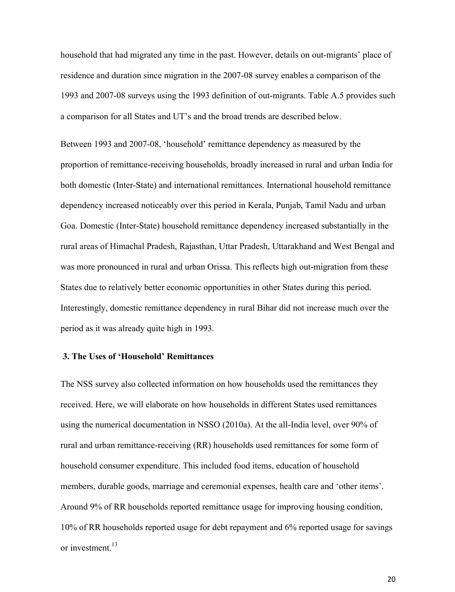household that had migrated any time in the past. However, details on out-migrants' place of residence and duration since migration in the 2007-08 survey enables a comparison of the 1993 and 2007-08 surveys using the 1993 definition of out-migrants. Table A.5 provides such a comparison for all States and UT's and the broad trends are described below.

Between 1993 and 2007-08, 'household' remittance dependency as measured by the proportion of remittance-receiving households, broadly increased in rural and urban India for both domestic (Inter-State) and international remittances. International household remittance dependency increased noticeably over this period in Kerala, Punjab, Tamil Nadu and urban Goa. Domestic (Inter-State) household remittance dependency increased substantially in the rural areas of Himachal Pradesh, Rajasthan, Uttar Pradesh, Uttarakhand and West Bengal and was more pronounced in rural and urban Orissa. This reflects high out-migration from these States due to relatively better economic opportunities in other States during this period. Interestingly, domestic remittance dependency in rural Bihar did not increase much over the period as it was already quite high in 1993.

#### **3. The Uses of 'Household' Remittances**

The NSS survey also collected information on how households used the remittances they received. Here, we will elaborate on how households in different States used remittances using the numerical documentation in NSSO (2010a). At the all-India level, over 90% of rural and urban remittance-receiving (RR) households used remittances for some form of household consumer expenditure. This included food items, education of household members, durable goods, marriage and ceremonial expenses, health care and 'other items'. Around 9% of RR households reported remittance usage for improving housing condition, 10% of RR households reported usage for debt repayment and 6% reported usage for savings or investment.<sup>13</sup>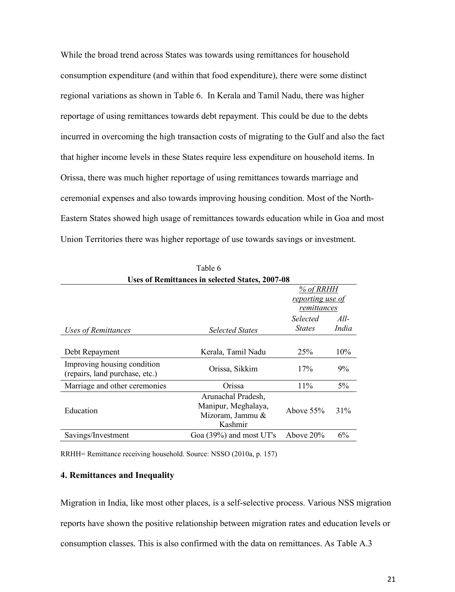While the broad trend across States was towards using remittances for household consumption expenditure (and within that food expenditure), there were some distinct regional variations as shown in Table 6. In Kerala and Tamil Nadu, there was higher reportage of using remittances towards debt repayment. This could be due to the debts incurred in overcoming the high transaction costs of migrating to the Gulf and also the fact that higher income levels in these States require less expenditure on household items. In Orissa, there was much higher reportage of using remittances towards marriage and ceremonial expenses and also towards improving housing condition. Most of the North-Eastern States showed high usage of remittances towards education while in Goa and most Union Territories there was higher reportage of use towards savings or investment.

| Uses of Remittances in selected States, 2007-08               |                                                                          |                  |        |  |  |  |  |  |  |
|---------------------------------------------------------------|--------------------------------------------------------------------------|------------------|--------|--|--|--|--|--|--|
|                                                               |                                                                          | % of RRHH        |        |  |  |  |  |  |  |
|                                                               |                                                                          | reporting use of |        |  |  |  |  |  |  |
|                                                               |                                                                          | remittances      |        |  |  |  |  |  |  |
|                                                               |                                                                          | <b>Selected</b>  | $All-$ |  |  |  |  |  |  |
| <b>Uses of Remittances</b>                                    | <b>Selected States</b>                                                   | <i>States</i>    | India  |  |  |  |  |  |  |
|                                                               |                                                                          |                  |        |  |  |  |  |  |  |
| Debt Repayment                                                | Kerala, Tamil Nadu                                                       | 25%              | 10%    |  |  |  |  |  |  |
| Improving housing condition<br>(repairs, land purchase, etc.) | Orissa, Sikkim                                                           | 17%              | 9%     |  |  |  |  |  |  |
| Marriage and other ceremonies                                 | Orissa                                                                   | 11%              | 5%     |  |  |  |  |  |  |
| Education                                                     | Arunachal Pradesh,<br>Manipur, Meghalaya,<br>Mizoram, Jammu &<br>Kashmir | Above $55\%$     | 31%    |  |  |  |  |  |  |
| Savings/Investment                                            | Goa $(39\%)$ and most UT's                                               | Above $20\%$     | 6%     |  |  |  |  |  |  |
|                                                               |                                                                          |                  |        |  |  |  |  |  |  |

Table 6 **Uses of Remittances in selected States, 2007-08**

RRHH= Remittance receiving household. Source: NSSO (2010a, p. 157)

#### **4. Remittances and Inequality**

Migration in India, like most other places, is a self-selective process. Various NSS migration reports have shown the positive relationship between migration rates and education levels or consumption classes. This is also confirmed with the data on remittances. As Table A.3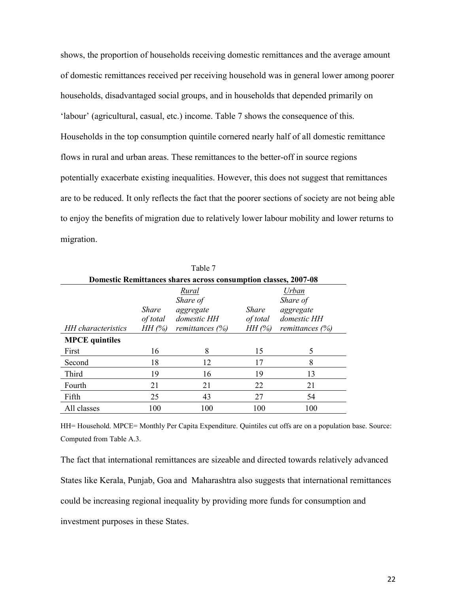shows, the proportion of households receiving domestic remittances and the average amount of domestic remittances received per receiving household was in general lower among poorer households, disadvantaged social groups, and in households that depended primarily on 'labour' (agricultural, casual, etc.) income. Table 7 shows the consequence of this. Households in the top consumption quintile cornered nearly half of all domestic remittance flows in rural and urban areas. These remittances to the better-off in source regions potentially exacerbate existing inequalities. However, this does not suggest that remittances are to be reduced. It only reflects the fact that the poorer sections of society are not being able to enjoy the benefits of migration due to relatively lower labour mobility and lower returns to migration.

| Domestic Remittances shares across consumption classes, 2007-08 |                                   |                                                                     |                                                                                                           |     |  |  |  |  |  |  |  |  |
|-----------------------------------------------------------------|-----------------------------------|---------------------------------------------------------------------|-----------------------------------------------------------------------------------------------------------|-----|--|--|--|--|--|--|--|--|
| HH characteristics                                              | <i>Share</i><br>of total<br>HH(%) | Rural<br>Share of<br>aggregate<br>domestic HH<br>remittances $(\%)$ | Urban<br>Share of<br><i>Share</i><br>aggregate<br>domestic HH<br>of total<br>HH(%)<br>remittances $(\% )$ |     |  |  |  |  |  |  |  |  |
| <b>MPCE</b> quintiles                                           |                                   |                                                                     |                                                                                                           |     |  |  |  |  |  |  |  |  |
| First                                                           | 16                                | 8                                                                   | 15                                                                                                        | 5   |  |  |  |  |  |  |  |  |
| Second                                                          | 18                                | 12                                                                  | 17                                                                                                        | 8   |  |  |  |  |  |  |  |  |
| <b>Third</b>                                                    | 19                                | 16                                                                  | 19                                                                                                        | 13  |  |  |  |  |  |  |  |  |
| Fourth                                                          | 21                                | 21                                                                  | 22                                                                                                        | 21  |  |  |  |  |  |  |  |  |
| Fifth                                                           | 25                                | 43                                                                  | 27                                                                                                        | 54  |  |  |  |  |  |  |  |  |
| All classes                                                     | 100                               | 100                                                                 | 100                                                                                                       | 100 |  |  |  |  |  |  |  |  |

Table 7

HH= Household. MPCE= Monthly Per Capita Expenditure. Quintiles cut offs are on a population base. Source: Computed from Table A.3.

The fact that international remittances are sizeable and directed towards relatively advanced States like Kerala, Punjab, Goa and Maharashtra also suggests that international remittances could be increasing regional inequality by providing more funds for consumption and investment purposes in these States.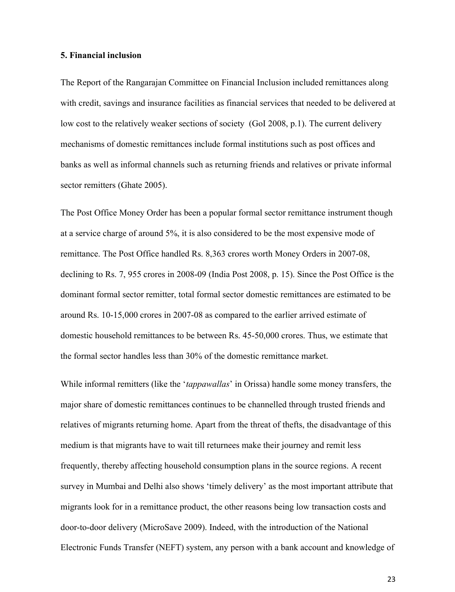#### **5. Financial inclusion**

The Report of the Rangarajan Committee on Financial Inclusion included remittances along with credit, savings and insurance facilities as financial services that needed to be delivered at low cost to the relatively weaker sections of society (GoI 2008, p.1). The current delivery mechanisms of domestic remittances include formal institutions such as post offices and banks as well as informal channels such as returning friends and relatives or private informal sector remitters (Ghate 2005).

The Post Office Money Order has been a popular formal sector remittance instrument though at a service charge of around 5%, it is also considered to be the most expensive mode of remittance. The Post Office handled Rs. 8,363 crores worth Money Orders in 2007-08, declining to Rs. 7, 955 crores in 2008-09 (India Post 2008, p. 15). Since the Post Office is the dominant formal sector remitter, total formal sector domestic remittances are estimated to be around Rs. 10-15,000 crores in 2007-08 as compared to the earlier arrived estimate of domestic household remittances to be between Rs. 45-50,000 crores. Thus, we estimate that the formal sector handles less than 30% of the domestic remittance market.

While informal remitters (like the '*tappawallas*' in Orissa) handle some money transfers, the major share of domestic remittances continues to be channelled through trusted friends and relatives of migrants returning home. Apart from the threat of thefts, the disadvantage of this medium is that migrants have to wait till returnees make their journey and remit less frequently, thereby affecting household consumption plans in the source regions. A recent survey in Mumbai and Delhi also shows 'timely delivery' as the most important attribute that migrants look for in a remittance product, the other reasons being low transaction costs and door-to-door delivery (MicroSave 2009). Indeed, with the introduction of the National Electronic Funds Transfer (NEFT) system, any person with a bank account and knowledge of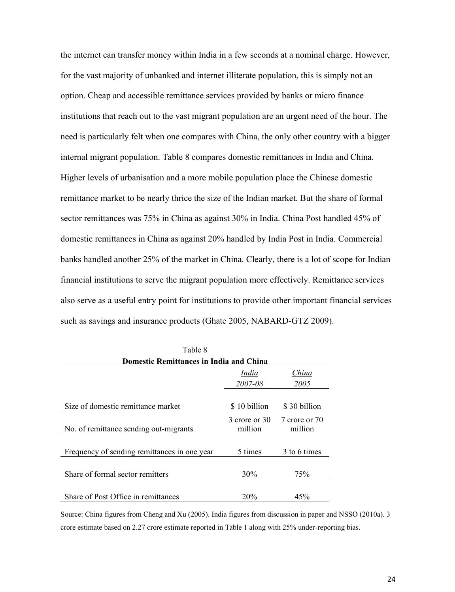the internet can transfer money within India in a few seconds at a nominal charge. However, for the vast majority of unbanked and internet illiterate population, this is simply not an option. Cheap and accessible remittance services provided by banks or micro finance institutions that reach out to the vast migrant population are an urgent need of the hour. The need is particularly felt when one compares with China, the only other country with a bigger internal migrant population. Table 8 compares domestic remittances in India and China. Higher levels of urbanisation and a more mobile population place the Chinese domestic remittance market to be nearly thrice the size of the Indian market. But the share of formal sector remittances was 75% in China as against 30% in India. China Post handled 45% of domestic remittances in China as against 20% handled by India Post in India. Commercial banks handled another 25% of the market in China. Clearly, there is a lot of scope for Indian financial institutions to serve the migrant population more effectively. Remittance services also serve as a useful entry point for institutions to provide other important financial services such as savings and insurance products (Ghate 2005, NABARD-GTZ 2009).

| Table 8                                      |                          |                          |  |  |  |  |  |  |  |
|----------------------------------------------|--------------------------|--------------------------|--|--|--|--|--|--|--|
| Domestic Remittances in India and China      |                          |                          |  |  |  |  |  |  |  |
|                                              | India                    | China                    |  |  |  |  |  |  |  |
|                                              | 2007-08                  | 2005                     |  |  |  |  |  |  |  |
|                                              |                          |                          |  |  |  |  |  |  |  |
| Size of domestic remittance market           | \$10 billion             | \$30 billion             |  |  |  |  |  |  |  |
| No. of remittance sending out-migrants       | 3 crore or 30<br>million | 7 crore or 70<br>million |  |  |  |  |  |  |  |
|                                              |                          |                          |  |  |  |  |  |  |  |
| Frequency of sending remittances in one year | 5 times                  | 3 to 6 times             |  |  |  |  |  |  |  |
|                                              |                          |                          |  |  |  |  |  |  |  |
| Share of formal sector remitters             | 30%                      | 75%                      |  |  |  |  |  |  |  |
|                                              |                          |                          |  |  |  |  |  |  |  |
| Share of Post Office in remittances          | 20%                      | 45%                      |  |  |  |  |  |  |  |

Source: China figures from Cheng and Xu (2005). India figures from discussion in paper and NSSO (2010a). 3 crore estimate based on 2.27 crore estimate reported in Table 1 along with 25% under-reporting bias.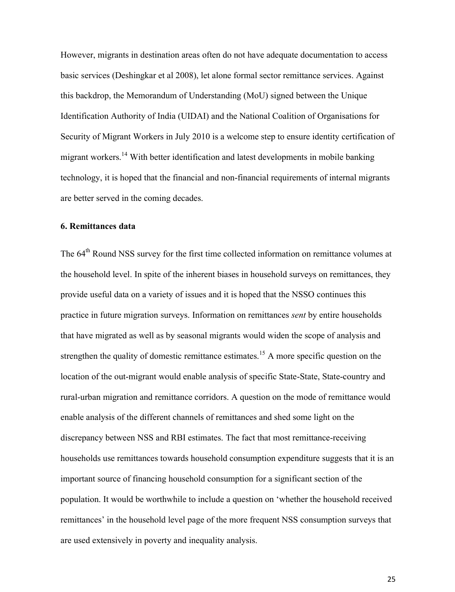However, migrants in destination areas often do not have adequate documentation to access basic services (Deshingkar et al 2008), let alone formal sector remittance services. Against this backdrop, the Memorandum of Understanding (MoU) signed between the Unique Identification Authority of India (UIDAI) and the National Coalition of Organisations for Security of Migrant Workers in July 2010 is a welcome step to ensure identity certification of migrant workers.<sup>14</sup> With better identification and latest developments in mobile banking technology, it is hoped that the financial and non-financial requirements of internal migrants are better served in the coming decades.

#### **6. Remittances data**

The 64<sup>th</sup> Round NSS survey for the first time collected information on remittance volumes at the household level. In spite of the inherent biases in household surveys on remittances, they provide useful data on a variety of issues and it is hoped that the NSSO continues this practice in future migration surveys. Information on remittances *sent* by entire households that have migrated as well as by seasonal migrants would widen the scope of analysis and strengthen the quality of domestic remittance estimates.<sup>15</sup> A more specific question on the location of the out-migrant would enable analysis of specific State-State, State-country and rural-urban migration and remittance corridors. A question on the mode of remittance would enable analysis of the different channels of remittances and shed some light on the discrepancy between NSS and RBI estimates. The fact that most remittance-receiving households use remittances towards household consumption expenditure suggests that it is an important source of financing household consumption for a significant section of the population. It would be worthwhile to include a question on 'whether the household received remittances' in the household level page of the more frequent NSS consumption surveys that are used extensively in poverty and inequality analysis.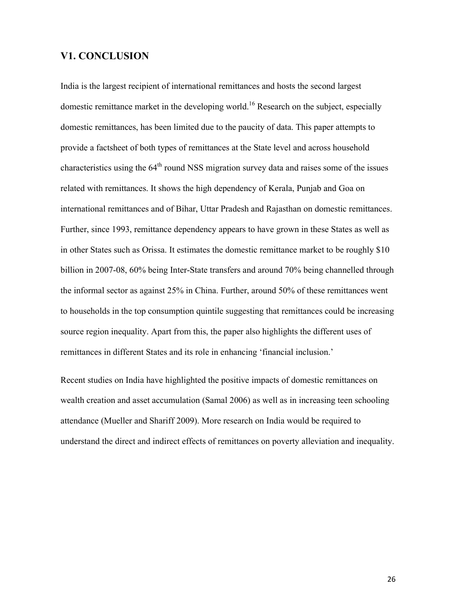# **V1. CONCLUSION**

India is the largest recipient of international remittances and hosts the second largest domestic remittance market in the developing world.<sup>16</sup> Research on the subject, especially domestic remittances, has been limited due to the paucity of data. This paper attempts to provide a factsheet of both types of remittances at the State level and across household characteristics using the  $64<sup>th</sup>$  round NSS migration survey data and raises some of the issues related with remittances. It shows the high dependency of Kerala, Punjab and Goa on international remittances and of Bihar, Uttar Pradesh and Rajasthan on domestic remittances. Further, since 1993, remittance dependency appears to have grown in these States as well as in other States such as Orissa. It estimates the domestic remittance market to be roughly \$10 billion in 2007-08, 60% being Inter-State transfers and around 70% being channelled through the informal sector as against 25% in China. Further, around 50% of these remittances went to households in the top consumption quintile suggesting that remittances could be increasing source region inequality. Apart from this, the paper also highlights the different uses of remittances in different States and its role in enhancing 'financial inclusion.'

Recent studies on India have highlighted the positive impacts of domestic remittances on wealth creation and asset accumulation (Samal 2006) as well as in increasing teen schooling attendance (Mueller and Shariff 2009). More research on India would be required to understand the direct and indirect effects of remittances on poverty alleviation and inequality.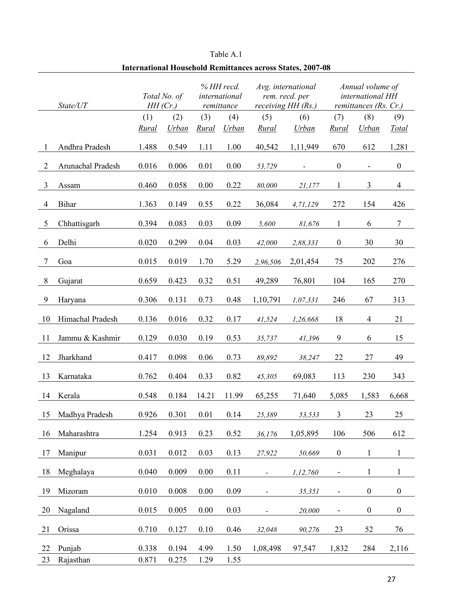|                | Thiel Hational Trousenoid Inclinitances across States, 2007-08 |            |              |       |                                           |                              |                                                            |                          |                                                               |                  |  |
|----------------|----------------------------------------------------------------|------------|--------------|-------|-------------------------------------------|------------------------------|------------------------------------------------------------|--------------------------|---------------------------------------------------------------|------------------|--|
|                | State/UT                                                       | $HH$ (Cr.) | Total No. of |       | % HH recd.<br>international<br>remittance |                              | Avg. international<br>rem. recd. per<br>receiving HH (Rs.) |                          | Annual volume of<br>international HH<br>remittances (Rs. Cr.) |                  |  |
|                |                                                                | (1)        | (2)          | (3)   | (4)                                       | (5)                          | (6)                                                        | (7)                      | (8)                                                           | (9)              |  |
|                |                                                                | Rural      | Urban        | Rural | <b>Urban</b>                              | Rural                        | <b>Urban</b>                                               | Rural                    | Urban                                                         | Total            |  |
| 1              | Andhra Pradesh                                                 | 1.488      | 0.549        | 1.11  | 1.00                                      | 40,542                       | 1,11,949                                                   | 670                      | 612                                                           | 1,281            |  |
| $\overline{2}$ | Arunachal Pradesh                                              | 0.016      | 0.006        | 0.01  | 0.00                                      | 53,729                       |                                                            | $\boldsymbol{0}$         | $\overline{\phantom{a}}$                                      | $\boldsymbol{0}$ |  |
| $\overline{3}$ | Assam                                                          | 0.460      | 0.058        | 0.00  | 0.22                                      | 80,000                       | 21,177                                                     | $\mathbf{1}$             | 3                                                             | $\overline{4}$   |  |
| 4              | Bihar                                                          | 1.363      | 0.149        | 0.55  | 0.22                                      | 36,084                       | 4,71,129                                                   | 272                      | 154                                                           | 426              |  |
| 5              | Chhattisgarh                                                   | 0.394      | 0.083        | 0.03  | 0.09                                      | 5,600                        | 81,676                                                     | 1                        | 6                                                             | $\tau$           |  |
| 6              | Delhi                                                          | 0.020      | 0.299        | 0.04  | 0.03                                      | 42,000                       | 2,88,331                                                   | $\boldsymbol{0}$         | 30                                                            | 30               |  |
| 7              | Goa                                                            | 0.015      | 0.019        | 1.70  | 5.29                                      | 2,96,506                     | 2,01,454                                                   | 75                       | 202                                                           | 276              |  |
| 8              | Gujarat                                                        | 0.659      | 0.423        | 0.32  | 0.51                                      | 49,289                       | 76,801                                                     | 104                      | 165                                                           | 270              |  |
| 9              | Haryana                                                        | 0.306      | 0.131        | 0.73  | 0.48                                      | 1,10,791                     | 1,07,331                                                   | 246                      | 67                                                            | 313              |  |
| 10             | Himachal Pradesh                                               | 0.136      | 0.016        | 0.32  | 0.17                                      | 41,524                       | 1,26,668                                                   | 18                       | $\overline{4}$                                                | 21               |  |
| 11             | Jammu & Kashmir                                                | 0.129      | 0.030        | 0.19  | 0.53                                      | 35,737                       | 41,396                                                     | 9                        | 6                                                             | 15               |  |
| 12             | Jharkhand                                                      | 0.417      | 0.098        | 0.06  | 0.73                                      | 89,892                       | 38,247                                                     | 22                       | $27\,$                                                        | 49               |  |
| 13             | Karnataka                                                      | 0.762      | 0.404        | 0.33  | 0.82                                      | 45,305                       | 69,083                                                     | 113                      | 230                                                           | 343              |  |
| 14             | Kerala                                                         | 0.548      | 0.184        | 14.21 | 11.99                                     | 65,255                       | 71,640                                                     | 5,085                    | 1,583                                                         | 6,668            |  |
| 15             | Madhya Pradesh                                                 | 0.926      | 0.301        | 0.01  | 0.14                                      | 25,389                       | 53,533                                                     | 3                        | 23                                                            | 25               |  |
| 16             | Maharashtra                                                    | 1.254      | 0.913        | 0.23  | 0.52                                      | 36,176                       | 1,05,895                                                   | 106                      | 506                                                           | 612              |  |
| 17             | Manipur                                                        | 0.031      | 0.012        | 0.03  | 0.13                                      | 27,922                       | 50,669                                                     | $\boldsymbol{0}$         | $\mathbf{1}$                                                  | $\mathbf{1}$     |  |
| 18             | Meghalaya                                                      | 0.040      | 0.009        | 0.00  | 0.11                                      | $\overline{\phantom{a}}$     | 1,12,760                                                   | $\blacksquare$           | $\mathbf{1}$                                                  | $\mathbf{1}$     |  |
| 19             | Mizoram                                                        | 0.010      | 0.008        | 0.00  | 0.09                                      | $\qquad \qquad \blacksquare$ | 35,351                                                     | $\blacksquare$           | $\boldsymbol{0}$                                              | $\boldsymbol{0}$ |  |
| 20             | Nagaland                                                       | 0.015      | 0.005        | 0.00  | 0.03                                      | $\qquad \qquad \blacksquare$ | 20,000                                                     | $\overline{\phantom{a}}$ | $\boldsymbol{0}$                                              | $\boldsymbol{0}$ |  |
| 21             | Orissa                                                         | 0.710      | 0.127        | 0.10  | 0.46                                      | 32,048                       | 90,276                                                     | 23                       | 52                                                            | 76               |  |
| 22             | Punjab                                                         | 0.338      | 0.194        | 4.99  | 1.50                                      | 1,08,498                     | 97,547                                                     | 1,832                    | 284                                                           | 2,116            |  |
| 23             | Rajasthan                                                      | 0.871      | 0.275        | 1.29  | 1.55                                      |                              |                                                            |                          |                                                               |                  |  |

Table A.1 **International Household Remittances across States, 2007-08**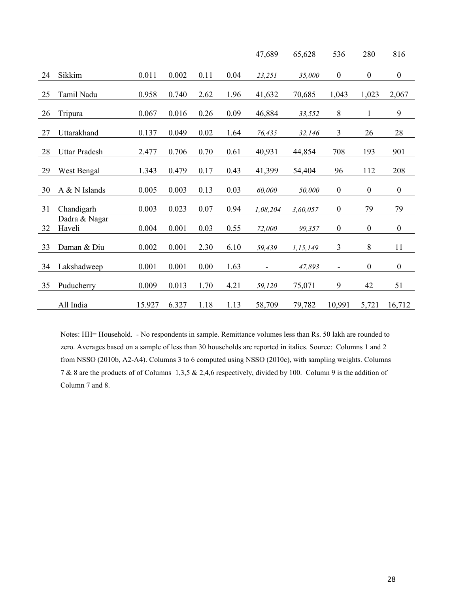|    |                         |        |       |      |      | 47,689         | 65,628   | 536                      | 280              | 816              |
|----|-------------------------|--------|-------|------|------|----------------|----------|--------------------------|------------------|------------------|
| 24 | Sikkim                  | 0.011  | 0.002 | 0.11 | 0.04 | 23,251         | 35,000   | $\boldsymbol{0}$         | $\boldsymbol{0}$ | $\boldsymbol{0}$ |
| 25 | Tamil Nadu              | 0.958  | 0.740 | 2.62 | 1.96 | 41,632         | 70,685   | 1,043                    | 1,023            | 2,067            |
| 26 | Tripura                 | 0.067  | 0.016 | 0.26 | 0.09 | 46,884         | 33,552   | 8                        | $\mathbf{1}$     | 9                |
| 27 | Uttarakhand             | 0.137  | 0.049 | 0.02 | 1.64 | 76,435         | 32,146   | 3                        | 26               | 28               |
| 28 | <b>Uttar Pradesh</b>    | 2.477  | 0.706 | 0.70 | 0.61 | 40,931         | 44,854   | 708                      | 193              | 901              |
| 29 | West Bengal             | 1.343  | 0.479 | 0.17 | 0.43 | 41,399         | 54,404   | 96                       | 112              | 208              |
| 30 | A & N Islands           | 0.005  | 0.003 | 0.13 | 0.03 | 60,000         | 50,000   | $\boldsymbol{0}$         | $\boldsymbol{0}$ | $\boldsymbol{0}$ |
| 31 | Chandigarh              | 0.003  | 0.023 | 0.07 | 0.94 | 1,08,204       | 3,60,057 | $\boldsymbol{0}$         | 79               | 79               |
| 32 | Dadra & Nagar<br>Haveli | 0.004  | 0.001 | 0.03 | 0.55 | 72,000         | 99,357   | $\boldsymbol{0}$         | $\boldsymbol{0}$ | $\boldsymbol{0}$ |
| 33 | Daman & Diu             | 0.002  | 0.001 | 2.30 | 6.10 | 59,439         | 1,15,149 | $\mathfrak{Z}$           | 8                | 11               |
| 34 | Lakshadweep             | 0.001  | 0.001 | 0.00 | 1.63 | $\blacksquare$ | 47,893   | $\overline{\phantom{a}}$ | $\boldsymbol{0}$ | $\boldsymbol{0}$ |
| 35 | Puducherry              | 0.009  | 0.013 | 1.70 | 4.21 | 59,120         | 75,071   | 9                        | 42               | 51               |
|    | All India               | 15.927 | 6.327 | 1.18 | 1.13 | 58,709         | 79,782   | 10,991                   | 5,721            | 16,712           |

Notes: HH= Household. - No respondents in sample. Remittance volumes less than Rs. 50 lakh are rounded to zero. Averages based on a sample of less than 30 households are reported in italics. Source: Columns 1 and 2 from NSSO (2010b, A2-A4). Columns 3 to 6 computed using NSSO (2010c), with sampling weights. Columns 7 & 8 are the products of of Columns 1,3,5 & 2,4,6 respectively, divided by 100. Column 9 is the addition of Column 7 and 8.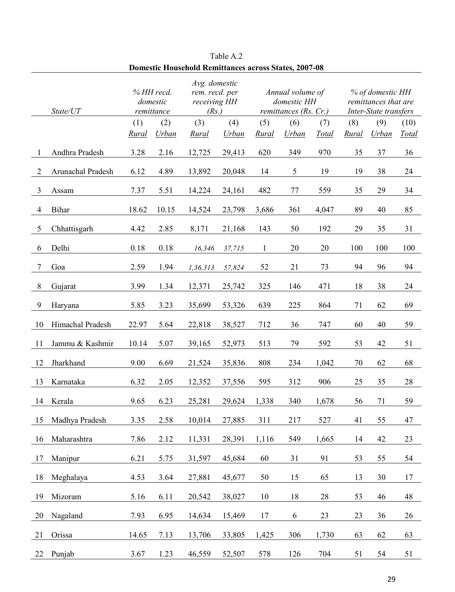|    | State/UT          | % HH recd.<br>domestic<br>remittance |              |                     | Avg. domestic<br>rem. recd. per<br>receiving HH<br>(Rs.) |              | Annual volume of<br>domestic HH<br>remittances $(Rs, Cr.)$ |              |                     | % of domestic HH<br>remittances that are<br>Inter-State transfers |               |  |
|----|-------------------|--------------------------------------|--------------|---------------------|----------------------------------------------------------|--------------|------------------------------------------------------------|--------------|---------------------|-------------------------------------------------------------------|---------------|--|
|    |                   | (1)<br>Rural                         | (2)<br>Urban | (3)<br><b>Rural</b> | (4)<br>Urban                                             | (5)<br>Rural | (6)<br>Urban                                               | (7)<br>Total | (8)<br><b>Rural</b> | (9)<br><b>Urban</b>                                               | (10)<br>Total |  |
|    | Andhra Pradesh    | 3.28                                 | 2.16         | 12,725              | 29,413                                                   | 620          | 349                                                        | 970          | 35                  | 37                                                                | 36            |  |
| 2  | Arunachal Pradesh | 6.12                                 | 4.89         | 13,892              | 20,048                                                   | 14           | 5                                                          | 19           | 19                  | 38                                                                | 24            |  |
| 3  | Assam             | 7.37                                 | 5.51         | 14,224              | 24,161                                                   | 482          | 77                                                         | 559          | 35                  | 29                                                                | 34            |  |
| 4  | Bihar             | 18.62                                | 10.15        | 14,524              | 23,798                                                   | 3,686        | 361                                                        | 4,047        | 89                  | 40                                                                | 85            |  |
| 5  | Chhattisgarh      | 4.42                                 | 2.85         | 8,171               | 21,168                                                   | 143          | 50                                                         | 192          | 29                  | 35                                                                | 31            |  |
| 6  | Delhi             | 0.18                                 | 0.18         | 16,346              | 37,715                                                   | 1            | 20                                                         | 20           | 100                 | 100                                                               | 100           |  |
| 7  | Goa               | 2.59                                 | 1.94         | 1,36,313            | 57,824                                                   | 52           | 21                                                         | 73           | 94                  | 96                                                                | 94            |  |
| 8  | Gujarat           | 3.99                                 | 1.34         | 12,371              | 25,742                                                   | 325          | 146                                                        | 471          | 18                  | 38                                                                | 24            |  |
| 9  | Haryana           | 5.85                                 | 3.23         | 35,699              | 53,326                                                   | 639          | 225                                                        | 864          | 71                  | 62                                                                | 69            |  |
| 10 | Himachal Pradesh  | 22.97                                | 5.64         | 22,818              | 38,527                                                   | 712          | 36                                                         | 747          | 60                  | 40                                                                | 59            |  |
| 11 | Jammu & Kashmir   | 10.14                                | 5.07         | 39,165              | 52,973                                                   | 513          | 79                                                         | 592          | 53                  | 42                                                                | 51            |  |
| 12 | Jharkhand         | 9.00                                 | 6.69         | 21,524              | 35,836                                                   | 808          | 234                                                        | 1,042        | 70                  | 62                                                                | 68            |  |
| 13 | Karnataka         | 6.32                                 | 2.05         | 12,352              | 37,556                                                   | 595          | 312                                                        | 906          | 25                  | 35                                                                | 28            |  |
| 14 | Kerala            | 9.65                                 | 6.23         | 25,281              | 29,624                                                   | 1,338        | 340                                                        | 1,678        | 56                  | 71                                                                | 59            |  |
| 15 | Madhya Pradesh    | 3.35                                 | 2.58         | 10,014              | 27,885                                                   | 311          | 217                                                        | 527          | 41                  | 55                                                                | 47            |  |
| 16 | Maharashtra       | 7.86                                 | 2.12         | 11,331              | 28,391                                                   | 1,116        | 549                                                        | 1,665        | 14                  | 42                                                                | 23            |  |
| 17 | Manipur           | 6.21                                 | 5.75         | 31,597              | 45,684                                                   | 60           | 31                                                         | 91           | 53                  | 55                                                                | 54            |  |
| 18 | Meghalaya         | 4.53                                 | 3.64         | 27,881              | 45,677                                                   | 50           | 15                                                         | 65           | 13                  | 30                                                                | 17            |  |
| 19 | Mizoram           | 5.16                                 | 6.11         | 20,542              | 38,027                                                   | 10           | 18                                                         | 28           | 53                  | 46                                                                | 48            |  |
| 20 | Nagaland          | 7.93                                 | 6.95         | 14,634              | 15,469                                                   | 17           | 6                                                          | 23           | 23                  | 36                                                                | 26            |  |
| 21 | Orissa            | 14.65                                | 7.13         | 13,706              | 33,805                                                   | 1,425        | 306                                                        | 1,730        | 63                  | 62                                                                | 63            |  |
| 22 | Punjab            | 3.67                                 | 1.23         | 46,559              | 52,507                                                   | 578          | 126                                                        | 704          | 51                  | 54                                                                | 51            |  |

Table A.2 **Domestic Household Remittances across States, 2007-08**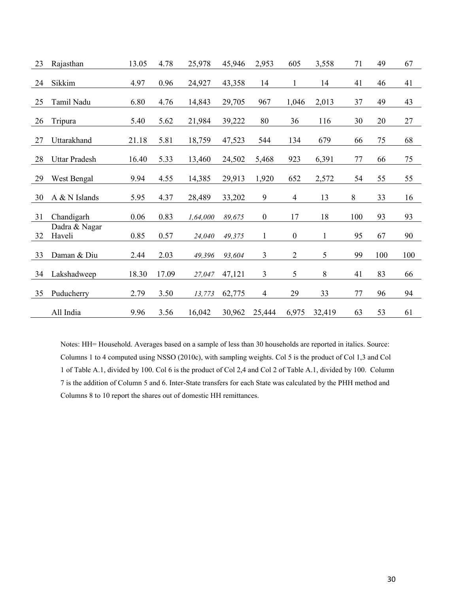| 23 | Rajasthan               | 13.05 | 4.78  | 25,978   | 45,946 | 2,953                    | 605              | 3,558        | 71  | 49  | 67  |
|----|-------------------------|-------|-------|----------|--------|--------------------------|------------------|--------------|-----|-----|-----|
| 24 | Sikkim                  | 4.97  | 0.96  | 24,927   | 43,358 | 14                       | 1                | 14           | 41  | 46  | 41  |
| 25 | Tamil Nadu              | 6.80  | 4.76  | 14,843   | 29,705 | 967                      | 1,046            | 2,013        | 37  | 49  | 43  |
| 26 | Tripura                 | 5.40  | 5.62  | 21,984   | 39,222 | 80                       | 36               | 116          | 30  | 20  | 27  |
| 27 | Uttarakhand             | 21.18 | 5.81  | 18,759   | 47,523 | 544                      | 134              | 679          | 66  | 75  | 68  |
| 28 | <b>Uttar Pradesh</b>    | 16.40 | 5.33  | 13,460   | 24,502 | 5,468                    | 923              | 6,391        | 77  | 66  | 75  |
| 29 | West Bengal             | 9.94  | 4.55  | 14,385   | 29,913 | 1,920                    | 652              | 2,572        | 54  | 55  | 55  |
| 30 | A & N Islands           | 5.95  | 4.37  | 28,489   | 33,202 | 9                        | 4                | 13           | 8   | 33  | 16  |
| 31 | Chandigarh              | 0.06  | 0.83  | 1,64,000 | 89,675 | $\boldsymbol{0}$         | 17               | 18           | 100 | 93  | 93  |
| 32 | Dadra & Nagar<br>Haveli | 0.85  | 0.57  | 24,040   | 49,375 | $\mathbf{1}$             | $\boldsymbol{0}$ | $\mathbf{1}$ | 95  | 67  | 90  |
| 33 | Daman & Diu             | 2.44  | 2.03  | 49,396   | 93,604 | 3                        | $\overline{2}$   | 5            | 99  | 100 | 100 |
| 34 | Lakshadweep             | 18.30 | 17.09 | 27,047   | 47,121 | 3                        | 5                | 8            | 41  | 83  | 66  |
| 35 | Puducherry              | 2.79  | 3.50  | 13,773   | 62,775 | $\overline{\mathcal{L}}$ | 29               | 33           | 77  | 96  | 94  |
|    | All India               | 9.96  | 3.56  | 16,042   | 30,962 | 25,444                   | 6,975            | 32,419       | 63  | 53  | 61  |

Notes: HH= Household. Averages based on a sample of less than 30 households are reported in italics. Source: Columns 1 to 4 computed using NSSO (2010c), with sampling weights. Col 5 is the product of Col 1,3 and Col 1 of Table A.1, divided by 100. Col 6 is the product of Col 2,4 and Col 2 of Table A.1, divided by 100. Column 7 is the addition of Column 5 and 6. Inter-State transfers for each State was calculated by the PHH method and Columns 8 to 10 report the shares out of domestic HH remittances.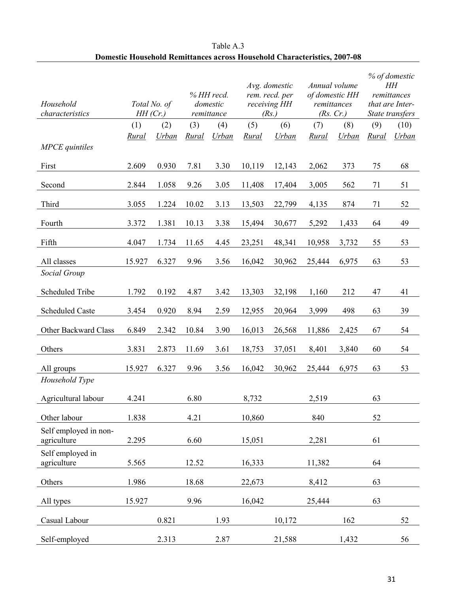| Household<br>characteristics         | HH(Cr.) | Total No. of |       | % HH recd.<br>domestic<br>remittance |        | Avg. domestic<br>rem. recd. per<br>receiving HH<br>(Rs.) |        | Annual volume<br>of domestic HH<br>remittances<br>(Rs. Cr.) |       | % of domestic<br>HН<br>remittances<br>that are Inter-<br>State transfers |  |
|--------------------------------------|---------|--------------|-------|--------------------------------------|--------|----------------------------------------------------------|--------|-------------------------------------------------------------|-------|--------------------------------------------------------------------------|--|
|                                      | (1)     | (2)          | (3)   | (4)                                  | (5)    | (6)                                                      | (7)    | (8)                                                         | (9)   | (10)                                                                     |  |
| <b>MPCE</b> quintiles                | Rural   | Urban        | Rural | Urban                                | Rural  | <b>Urban</b>                                             | Rural  | <b>Urban</b>                                                | Rural | <b>Urban</b>                                                             |  |
| First                                | 2.609   | 0.930        | 7.81  | 3.30                                 | 10,119 | 12,143                                                   | 2,062  | 373                                                         | 75    | 68                                                                       |  |
| Second                               | 2.844   | 1.058        | 9.26  | 3.05                                 | 11,408 | 17,404                                                   | 3,005  | 562                                                         | 71    | 51                                                                       |  |
| Third                                | 3.055   | 1.224        | 10.02 | 3.13                                 | 13,503 | 22,799                                                   | 4,135  | 874                                                         | 71    | 52                                                                       |  |
| Fourth                               | 3.372   | 1.381        | 10.13 | 3.38                                 | 15,494 | 30,677                                                   | 5,292  | 1,433                                                       | 64    | 49                                                                       |  |
| Fifth                                | 4.047   | 1.734        | 11.65 | 4.45                                 | 23,251 | 48,341                                                   | 10,958 | 3,732                                                       | 55    | 53                                                                       |  |
| All classes                          | 15.927  | 6.327        | 9.96  | 3.56                                 | 16,042 | 30,962                                                   | 25,444 | 6,975                                                       | 63    | 53                                                                       |  |
| Social Group                         |         |              |       |                                      |        |                                                          |        |                                                             |       |                                                                          |  |
| Scheduled Tribe                      | 1.792   | 0.192        | 4.87  | 3.42                                 | 13,303 | 32,198                                                   | 1,160  | 212                                                         | 47    | 41                                                                       |  |
| <b>Scheduled Caste</b>               | 3.454   | 0.920        | 8.94  | 2.59                                 | 12,955 | 20,964                                                   | 3,999  | 498                                                         | 63    | 39                                                                       |  |
| Other Backward Class                 | 6.849   | 2.342        | 10.84 | 3.90                                 | 16,013 | 26,568                                                   | 11,886 | 2,425                                                       | 67    | 54                                                                       |  |
| Others                               | 3.831   | 2.873        | 11.69 | 3.61                                 | 18,753 | 37,051                                                   | 8,401  | 3,840                                                       | 60    | 54                                                                       |  |
| All groups                           | 15.927  | 6.327        | 9.96  | 3.56                                 | 16,042 | 30,962                                                   | 25,444 | 6,975                                                       | 63    | 53                                                                       |  |
| Household Type                       |         |              |       |                                      |        |                                                          |        |                                                             |       |                                                                          |  |
| Agricultural labour                  | 4.241   |              | 6.80  |                                      | 8,732  |                                                          | 2,519  |                                                             | 63    |                                                                          |  |
| Other labour                         | 1.838   |              | 4.21  |                                      | 10,860 |                                                          | 840    |                                                             | 52    |                                                                          |  |
| Self employed in non-<br>agriculture | 2.295   |              | 6.60  |                                      | 15,051 |                                                          | 2,281  |                                                             | 61    |                                                                          |  |
| Self employed in<br>agriculture      | 5.565   |              | 12.52 |                                      | 16,333 |                                                          | 11,382 |                                                             | 64    |                                                                          |  |
| Others                               | 1.986   |              | 18.68 |                                      | 22,673 |                                                          | 8,412  |                                                             | 63    |                                                                          |  |
| All types                            | 15.927  |              | 9.96  |                                      | 16,042 |                                                          | 25,444 |                                                             | 63    |                                                                          |  |
| Casual Labour                        |         | 0.821        |       | 1.93                                 |        | 10,172                                                   |        | 162                                                         |       | 52                                                                       |  |
| Self-employed                        |         | 2.313        |       | 2.87                                 |        | 21,588                                                   |        | 1,432                                                       |       | 56                                                                       |  |

# Table A.3 **Domestic Household Remittances across Household Characteristics, 2007-08**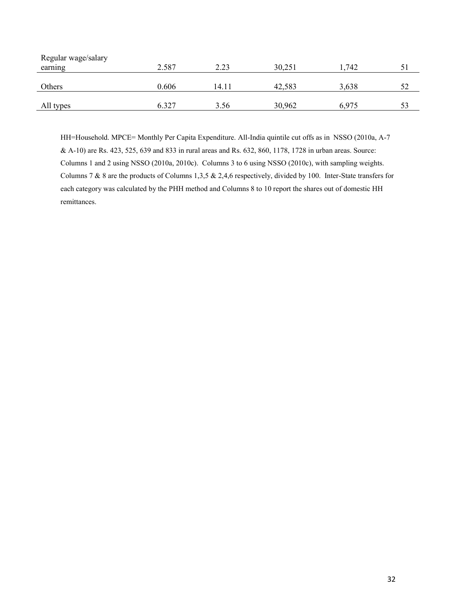| Regular wage/salary |       |       |        |       |    |  |
|---------------------|-------|-------|--------|-------|----|--|
| earning             | 2.587 | 2.23  | 30,251 | 1.742 |    |  |
|                     |       |       |        |       |    |  |
| Others              | 0.606 | 14.11 | 42,583 | 3,638 | 52 |  |
|                     |       |       |        |       |    |  |
| All types           | 6.327 | 3.56  | 30,962 | 6,975 | 53 |  |

HH=Household. MPCE= Monthly Per Capita Expenditure. All-India quintile cut offs as in NSSO (2010a, A-7 & A-10) are Rs. 423, 525, 639 and 833 in rural areas and Rs. 632, 860, 1178, 1728 in urban areas. Source: Columns 1 and 2 using NSSO (2010a, 2010c). Columns 3 to 6 using NSSO (2010c), with sampling weights. Columns 7 & 8 are the products of Columns 1,3,5 & 2,4,6 respectively, divided by 100. Inter-State transfers for each category was calculated by the PHH method and Columns 8 to 10 report the shares out of domestic HH remittances.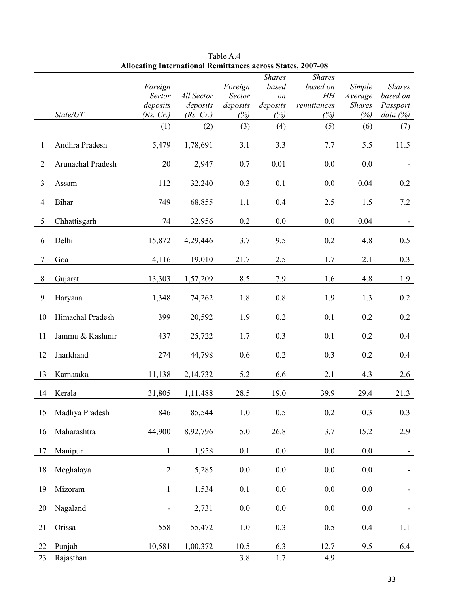|    |                   |                |            |          | <b>Shares</b>   | <b>Shares</b> |               |               |
|----|-------------------|----------------|------------|----------|-----------------|---------------|---------------|---------------|
|    |                   | Foreign        |            | Foreign  | based           | based on      | Simple        | <b>Shares</b> |
|    |                   | Sector         | All Sector | Sector   | $\mathfrak{O}n$ | $H\!H$        | Average       | based on      |
|    |                   | deposits       | deposits   | deposits | deposits        | remittances   | <b>Shares</b> | Passport      |
|    | State/UT          | (Rs. Cr.)      | (Rs. Cr.)  | (%)      | (%)             | (%)           | (%)           | data (%)      |
|    |                   | (1)            | (2)        | (3)      | (4)             | (5)           | (6)           | (7)           |
| 1  | Andhra Pradesh    | 5,479          | 1,78,691   | 3.1      | 3.3             | 7.7           | 5.5           | 11.5          |
| 2  | Arunachal Pradesh | 20             | 2,947      | 0.7      | 0.01            | 0.0           | 0.0           |               |
| 3  | Assam             | 112            | 32,240     | 0.3      | 0.1             | 0.0           | 0.04          | 0.2           |
| 4  | Bihar             | 749            | 68,855     | 1.1      | 0.4             | 2.5           | 1.5           | 7.2           |
| 5  | Chhattisgarh      | 74             | 32,956     | 0.2      | 0.0             | 0.0           | 0.04          |               |
| 6  | Delhi             | 15,872         | 4,29,446   | 3.7      | 9.5             | 0.2           | 4.8           | 0.5           |
| 7  | Goa               | 4,116          | 19,010     | 21.7     | 2.5             | 1.7           | 2.1           | 0.3           |
| 8  | Gujarat           | 13,303         | 1,57,209   | 8.5      | 7.9             | 1.6           | 4.8           | 1.9           |
| 9  | Haryana           | 1,348          | 74,262     | 1.8      | 0.8             | 1.9           | 1.3           | 0.2           |
| 10 | Himachal Pradesh  | 399            | 20,592     | 1.9      | 0.2             | 0.1           | 0.2           | 0.2           |
| 11 | Jammu & Kashmir   | 437            | 25,722     | 1.7      | 0.3             | 0.1           | 0.2           | 0.4           |
| 12 | Jharkhand         | 274            | 44,798     | 0.6      | 0.2             | 0.3           | 0.2           | 0.4           |
| 13 | Karnataka         | 11,138         | 2,14,732   | 5.2      | 6.6             | 2.1           | 4.3           | 2.6           |
| 14 | Kerala            | 31,805         | 1,11,488   | 28.5     | 19.0            | 39.9          | 29.4          | 21.3          |
| 15 | Madhya Pradesh    | 846            | 85,544     | 1.0      | 0.5             | 0.2           | 0.3           | 0.3           |
| 16 | Maharashtra       | 44,900         | 8,92,796   | 5.0      | 26.8            | 3.7           | 15.2          | 2.9           |
| 17 | Manipur           | $\mathbf{1}$   | 1,958      | 0.1      | $0.0\,$         | 0.0           | $0.0\,$       |               |
| 18 | Meghalaya         | $\overline{2}$ | 5,285      | 0.0      | 0.0             | 0.0           | 0.0           |               |
| 19 | Mizoram           | $\mathbf{1}$   | 1,534      | 0.1      | 0.0             | 0.0           | 0.0           | ۰             |
| 20 | Nagaland          |                | 2,731      | $0.0\,$  | 0.0             | 0.0           | 0.0           |               |
| 21 | Orissa            | 558            | 55,472     | $1.0$    | 0.3             | 0.5           | 0.4           | 1.1           |
| 22 | Punjab            | 10,581         | 1,00,372   | 10.5     | 6.3             | 12.7          | 9.5           | 6.4           |
| 23 | Rajasthan         |                |            | 3.8      | 1.7             | 4.9           |               |               |

Table A.4 **Allocating International Remittances across States, 2007-08**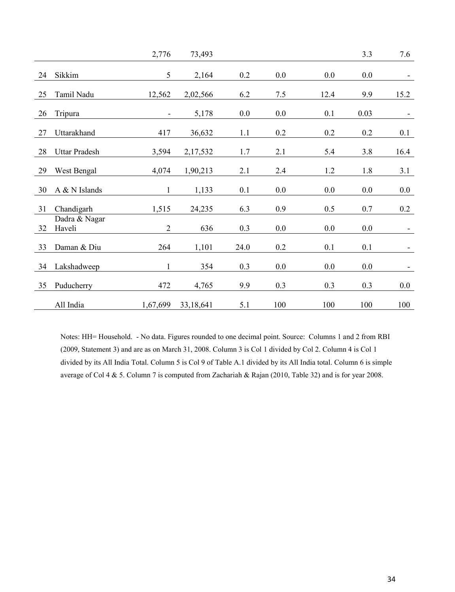|    |                         | 2,776                    | 73,493    |      |     |      | 3.3  | 7.6                      |
|----|-------------------------|--------------------------|-----------|------|-----|------|------|--------------------------|
| 24 | Sikkim                  | 5                        | 2,164     | 0.2  | 0.0 | 0.0  | 0.0  | $\overline{\phantom{0}}$ |
| 25 | Tamil Nadu              | 12,562                   | 2,02,566  | 6.2  | 7.5 | 12.4 | 9.9  | 15.2                     |
| 26 | Tripura                 | $\overline{\phantom{a}}$ | 5,178     | 0.0  | 0.0 | 0.1  | 0.03 | ۰                        |
| 27 | Uttarakhand             | 417                      | 36,632    | 1.1  | 0.2 | 0.2  | 0.2  | 0.1                      |
| 28 | <b>Uttar Pradesh</b>    | 3,594                    | 2,17,532  | 1.7  | 2.1 | 5.4  | 3.8  | 16.4                     |
| 29 | West Bengal             | 4,074                    | 1,90,213  | 2.1  | 2.4 | 1.2  | 1.8  | 3.1                      |
| 30 | A & N Islands           | $\mathbf{1}$             | 1,133     | 0.1  | 0.0 | 0.0  | 0.0  | 0.0                      |
| 31 | Chandigarh              | 1,515                    | 24,235    | 6.3  | 0.9 | 0.5  | 0.7  | 0.2                      |
| 32 | Dadra & Nagar<br>Haveli | $\overline{2}$           | 636       | 0.3  | 0.0 | 0.0  | 0.0  | $\overline{\phantom{a}}$ |
| 33 | Daman & Diu             | 264                      | 1,101     | 24.0 | 0.2 | 0.1  | 0.1  |                          |
| 34 | Lakshadweep             | $\mathbf{1}$             | 354       | 0.3  | 0.0 | 0.0  | 0.0  |                          |
| 35 | Puducherry              | 472                      | 4,765     | 9.9  | 0.3 | 0.3  | 0.3  | 0.0                      |
|    | All India               | 1,67,699                 | 33,18,641 | 5.1  | 100 | 100  | 100  | 100                      |

Notes: HH= Household. - No data. Figures rounded to one decimal point. Source: Columns 1 and 2 from RBI (2009, Statement 3) and are as on March 31, 2008. Column 3 is Col 1 divided by Col 2. Column 4 is Col 1 divided by its All India Total. Column 5 is Col 9 of Table A.1 divided by its All India total. Column 6 is simple average of Col 4 & 5. Column 7 is computed from Zachariah & Rajan (2010, Table 32) and is for year 2008.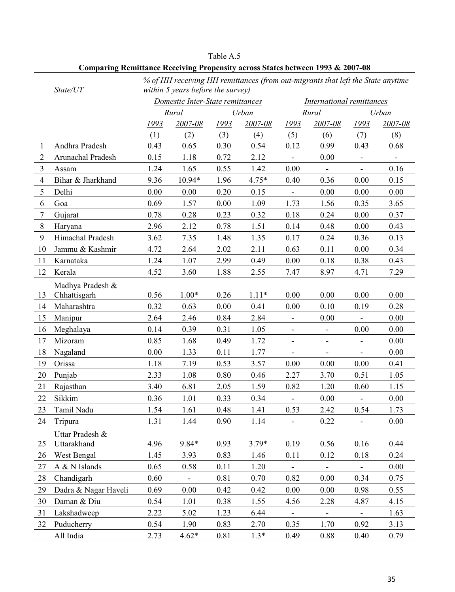|                | State/UT             | % of HH receiving HH remittances (from out-migrants that left the State anytime<br>within 5 years before the survey) |                          |      |         |                              |                          |                              |         |  |
|----------------|----------------------|----------------------------------------------------------------------------------------------------------------------|--------------------------|------|---------|------------------------------|--------------------------|------------------------------|---------|--|
|                |                      | Domestic Inter-State remittances                                                                                     |                          |      |         | International remittances    |                          |                              |         |  |
|                |                      | Rural<br>Urban                                                                                                       |                          |      | Rural   |                              |                          | Urban                        |         |  |
|                |                      | <u> 1993</u>                                                                                                         | 2007-08                  | 1993 | 2007-08 | 1993                         | 2007-08                  | 1993                         | 2007-08 |  |
|                |                      | (1)                                                                                                                  | (2)                      | (3)  | (4)     | (5)                          | (6)                      | (7)                          | (8)     |  |
| 1              | Andhra Pradesh       | 0.43                                                                                                                 | 0.65                     | 0.30 | 0.54    | 0.12                         | 0.99                     | 0.43                         | 0.68    |  |
| $\overline{2}$ | Arunachal Pradesh    | 0.15                                                                                                                 | 1.18                     | 0.72 | 2.12    | $\overline{\phantom{0}}$     | 0.00                     |                              |         |  |
| 3              | Assam                | 1.24                                                                                                                 | 1.65                     | 0.55 | 1.42    | 0.00                         |                          | $\overline{\phantom{0}}$     | 0.16    |  |
| $\overline{4}$ | Bihar & Jharkhand    | 9.36                                                                                                                 | 10.94*                   | 1.96 | 4.75*   | 0.40                         | 0.36                     | 0.00                         | 0.15    |  |
| 5              | Delhi                | 0.00                                                                                                                 | 0.00                     | 0.20 | 0.15    | $\overline{\phantom{0}}$     | 0.00                     | 0.00                         | 0.00    |  |
| 6              | Goa                  | 0.69                                                                                                                 | 1.57                     | 0.00 | 1.09    | 1.73                         | 1.56                     | 0.35                         | 3.65    |  |
| 7              | Gujarat              | 0.78                                                                                                                 | 0.28                     | 0.23 | 0.32    | 0.18                         | 0.24                     | 0.00                         | 0.37    |  |
| 8              | Haryana              | 2.96                                                                                                                 | 2.12                     | 0.78 | 1.51    | 0.14                         | 0.48                     | 0.00                         | 0.43    |  |
| 9              | Himachal Pradesh     | 3.62                                                                                                                 | 7.35                     | 1.48 | 1.35    | 0.17                         | 0.24                     | 0.36                         | 0.13    |  |
| 10             | Jammu & Kashmir      | 4.72                                                                                                                 | 2.64                     | 2.02 | 2.11    | 0.63                         | 0.11                     | 0.00                         | 0.34    |  |
| 11             | Karnataka            | 1.24                                                                                                                 | 1.07                     | 2.99 | 0.49    | 0.00                         | 0.18                     | 0.38                         | 0.43    |  |
| 12             | Kerala               | 4.52                                                                                                                 | 3.60                     | 1.88 | 2.55    | 7.47                         | 8.97                     | 4.71                         | 7.29    |  |
|                | Madhya Pradesh &     |                                                                                                                      |                          |      |         |                              |                          |                              |         |  |
| 13             | Chhattisgarh         | 0.56                                                                                                                 | $1.00*$                  | 0.26 | $1.11*$ | 0.00                         | 0.00                     | 0.00                         | 0.00    |  |
| 14             | Maharashtra          | 0.32                                                                                                                 | 0.63                     | 0.00 | 0.41    | 0.00                         | 0.10                     | 0.19                         | 0.28    |  |
| 15             | Manipur              | 2.64                                                                                                                 | 2.46                     | 0.84 | 2.84    | $\blacksquare$               | 0.00                     | $\overline{\phantom{a}}$     | 0.00    |  |
| 16             | Meghalaya            | 0.14                                                                                                                 | 0.39                     | 0.31 | 1.05    | $\overline{\phantom{a}}$     | $\overline{\phantom{0}}$ | 0.00                         | 0.00    |  |
| 17             | Mizoram              | 0.85                                                                                                                 | 1.68                     | 0.49 | 1.72    | $\overline{\phantom{a}}$     | $\overline{\phantom{a}}$ | $\blacksquare$               | 0.00    |  |
| 18             | Nagaland             | 0.00                                                                                                                 | 1.33                     | 0.11 | 1.77    | $\overline{\phantom{0}}$     | $\overline{\phantom{0}}$ | $\overline{\phantom{0}}$     | 0.00    |  |
| 19             | Orissa               | 1.18                                                                                                                 | 7.19                     | 0.53 | 3.57    | 0.00                         | 0.00                     | 0.00                         | 0.41    |  |
| 20             | Punjab               | 2.33                                                                                                                 | 1.08                     | 0.80 | 0.46    | 2.27                         | 3.70                     | 0.51                         | 1.05    |  |
| 21             | Rajasthan            | 3.40                                                                                                                 | 6.81                     | 2.05 | 1.59    | 0.82                         | 1.20                     | 0.60                         | 1.15    |  |
| 22             | Sikkim               | 0.36                                                                                                                 | 1.01                     | 0.33 | 0.34    | $\qquad \qquad -$            | 0.00                     | $\overline{\phantom{a}}$     | 0.00    |  |
| 23             | Tamil Nadu           | 1.54                                                                                                                 | 1.61                     | 0.48 | 1.41    | 0.53                         | 2.42                     | 0.54                         | 1.73    |  |
| 24             | Tripura              | 1.31                                                                                                                 | 1.44                     | 0.90 | 1.14    | $\qquad \qquad \blacksquare$ | 0.22                     | $\qquad \qquad \blacksquare$ | 0.00    |  |
|                | Uttar Pradesh &      |                                                                                                                      |                          |      |         |                              |                          |                              |         |  |
| 25             | Uttarakhand          | 4.96                                                                                                                 | 9.84*                    | 0.93 | $3.79*$ | 0.19                         | 0.56                     | 0.16                         | 0.44    |  |
| 26             | West Bengal          | 1.45                                                                                                                 | 3.93                     | 0.83 | 1.46    | 0.11                         | 0.12                     | 0.18                         | 0.24    |  |
| 27             | A & N Islands        | 0.65                                                                                                                 | 0.58                     | 0.11 | 1.20    | -                            |                          |                              | 0.00    |  |
| 28             | Chandigarh           | 0.60                                                                                                                 | $\overline{\phantom{a}}$ | 0.81 | 0.70    | 0.82                         | 0.00                     | 0.34                         | 0.75    |  |
| 29             | Dadra & Nagar Haveli | 0.69                                                                                                                 | 0.00                     | 0.42 | 0.42    | 0.00                         | 0.00                     | 0.98                         | 0.55    |  |
| 30             | Daman & Diu          | 0.54                                                                                                                 | 1.01                     | 0.38 | 1.55    | 4.56                         | 2.28                     | 4.87                         | 4.15    |  |
| 31             | Lakshadweep          | 2.22                                                                                                                 | 5.02                     | 1.23 | 6.44    | $\overline{\phantom{0}}$     | $\blacksquare$           | $\blacksquare$               | 1.63    |  |
| 32             | Puducherry           | 0.54                                                                                                                 | 1.90                     | 0.83 | 2.70    | 0.35                         | 1.70                     | 0.92                         | 3.13    |  |
|                | All India            | 2.73                                                                                                                 | $4.62*$                  | 0.81 | $1.3*$  | 0.49                         | 0.88                     | 0.40                         | 0.79    |  |

Table A.5 **Comparing Remittance Receiving Propensity across States between 1993 & 2007-08**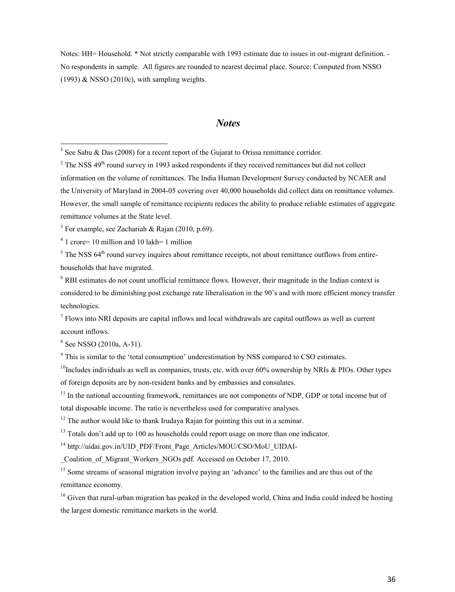Notes: HH= Household. \* Not strictly comparable with 1993 estimate due to issues in out-migrant definition. - No respondents in sample. All figures are rounded to nearest decimal place. Source: Computed from NSSO (1993) & NSSO (2010c), with sampling weights.

#### *Notes*

4 1 crore= 10 million and 10 lakh= 1 million

 $<sup>5</sup>$  The NSS 64<sup>th</sup> round survey inquires about remittance receipts, not about remittance outflows from entire-</sup> households that have migrated.

 $6$  RBI estimates do not count unofficial remittance flows. However, their magnitude in the Indian context is considered to be diminishing post exchange rate liberalisation in the 90's and with more efficient money transfer technologies.

 $<sup>7</sup>$  Flows into NRI deposits are capital inflows and local withdrawals are capital outflows as well as current</sup> account inflows.

<sup>8</sup> See NSSO (2010a, A-31).

 $^{10}$ Includes individuals as well as companies, trusts, etc. with over 60% ownership by NRIs & PIOs. Other types of foreign deposits are by non-resident banks and by embassies and consulates.

<sup>11</sup> In the national accounting framework, remittances are not components of NDP, GDP or total income but of total disposable income. The ratio is nevertheless used for comparative analyses.

 $12$  The author would like to thank Irudaya Rajan for pointing this out in a seminar.

<sup>13</sup> Totals don't add up to 100 as households could report usage on more than one indicator.

<sup>14</sup> http://uidai.gov.in/UID\_PDF/Front\_Page\_Articles/MOU/CSO/MoU\_UIDAI-

Coalition of Migrant Workers NGOs.pdf. Accessed on October 17, 2010.

<sup>15</sup> Some streams of seasonal migration involve paying an 'advance' to the families and are thus out of the remittance economy.

<sup>16</sup> Given that rural-urban migration has peaked in the developed world, China and India could indeed be hosting the largest domestic remittance markets in the world.

<sup>&</sup>lt;sup>1</sup> See Sahu & Das (2008) for a recent report of the Gujarat to Orissa remittance corridor.

 $2$  The NSS 49<sup>th</sup> round survey in 1993 asked respondents if they received remittances but did not collect information on the volume of remittances. The India Human Development Survey conducted by NCAER and the University of Maryland in 2004-05 covering over 40,000 households did collect data on remittance volumes. However, the small sample of remittance recipients reduces the ability to produce reliable estimates of aggregate remittance volumes at the State level.

<sup>&</sup>lt;sup>3</sup> For example, see Zachariah & Rajan (2010, p.69).

<sup>&</sup>lt;sup>9</sup> This is similar to the 'total consumption' underestimation by NSS compared to CSO estimates.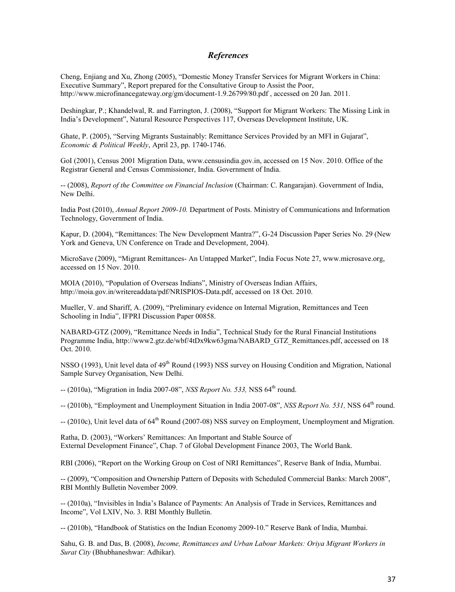#### *References*

Cheng, Enjiang and Xu, Zhong (2005), "Domestic Money Transfer Services for Migrant Workers in China: Executive Summary", Report prepared for the Consultative Group to Assist the Poor, http://www.microfinancegateway.org/gm/document-1.9.26799/80.pdf , accessed on 20 Jan. 2011.

Deshingkar, P.; Khandelwal, R. and Farrington, J. (2008), "Support for Migrant Workers: The Missing Link in India's Development", Natural Resource Perspectives 117, Overseas Development Institute, UK.

Ghate, P. (2005), "Serving Migrants Sustainably: Remittance Services Provided by an MFI in Gujarat", *Economic & Political Weekly*, April 23, pp. 1740-1746.

GoI (2001), Census 2001 Migration Data, www.censusindia.gov.in, accessed on 15 Nov. 2010. Office of the Registrar General and Census Commissioner, India. Government of India.

-- (2008), *Report of the Committee on Financial Inclusion* (Chairman: C. Rangarajan). Government of India, New Delhi.

India Post (2010), *Annual Report 2009-10.* Department of Posts. Ministry of Communications and Information Technology, Government of India.

Kapur, D. (2004), "Remittances: The New Development Mantra?", G-24 Discussion Paper Series No. 29 (New York and Geneva, UN Conference on Trade and Development, 2004).

MicroSave (2009), "Migrant Remittances- An Untapped Market", India Focus Note 27, www.microsave.org, accessed on 15 Nov. 2010.

MOIA (2010), "Population of Overseas Indians", Ministry of Overseas Indian Affairs, http://moia.gov.in/writereaddata/pdf/NRISPIOS-Data.pdf, accessed on 18 Oct. 2010.

Mueller, V. and Shariff, A. (2009), "Preliminary evidence on Internal Migration, Remittances and Teen Schooling in India", IFPRI Discussion Paper 00858.

NABARD-GTZ (2009), "Remittance Needs in India", Technical Study for the Rural Financial Institutions Programme India, http://www2.gtz.de/wbf/4tDx9kw63gma/NABARD\_GTZ\_Remittances.pdf, accessed on 18 Oct. 2010.

NSSO (1993), Unit level data of 49<sup>th</sup> Round (1993) NSS survey on Housing Condition and Migration, National Sample Survey Organisation, New Delhi.

-- (2010a), "Migration in India 2007-08", *NSS Report No. 533*, NSS 64<sup>th</sup> round.

-- (2010b), "Employment and Unemployment Situation in India 2007-08", *NSS Report No. 531*, NSS 64<sup>th</sup> round.

-- (2010c), Unit level data of 64<sup>th</sup> Round (2007-08) NSS survey on Employment, Unemployment and Migration.

Ratha, D. (2003), "Workers' Remittances: An Important and Stable Source of External Development Finance", Chap. 7 of Global Development Finance 2003, The World Bank.

RBI (2006), "Report on the Working Group on Cost of NRI Remittances", Reserve Bank of India, Mumbai.

-- (2009), "Composition and Ownership Pattern of Deposits with Scheduled Commercial Banks: March 2008", RBI Monthly Bulletin November 2009.

-- (2010a), "Invisibles in India's Balance of Payments: An Analysis of Trade in Services, Remittances and Income", Vol LXIV, No. 3. RBI Monthly Bulletin.

-- (2010b), "Handbook of Statistics on the Indian Economy 2009-10." Reserve Bank of India, Mumbai.

Sahu, G. B. and Das, B. (2008), *Income, Remittances and Urban Labour Markets: Oriya Migrant Workers in Surat City* (Bhubhaneshwar: Adhikar).